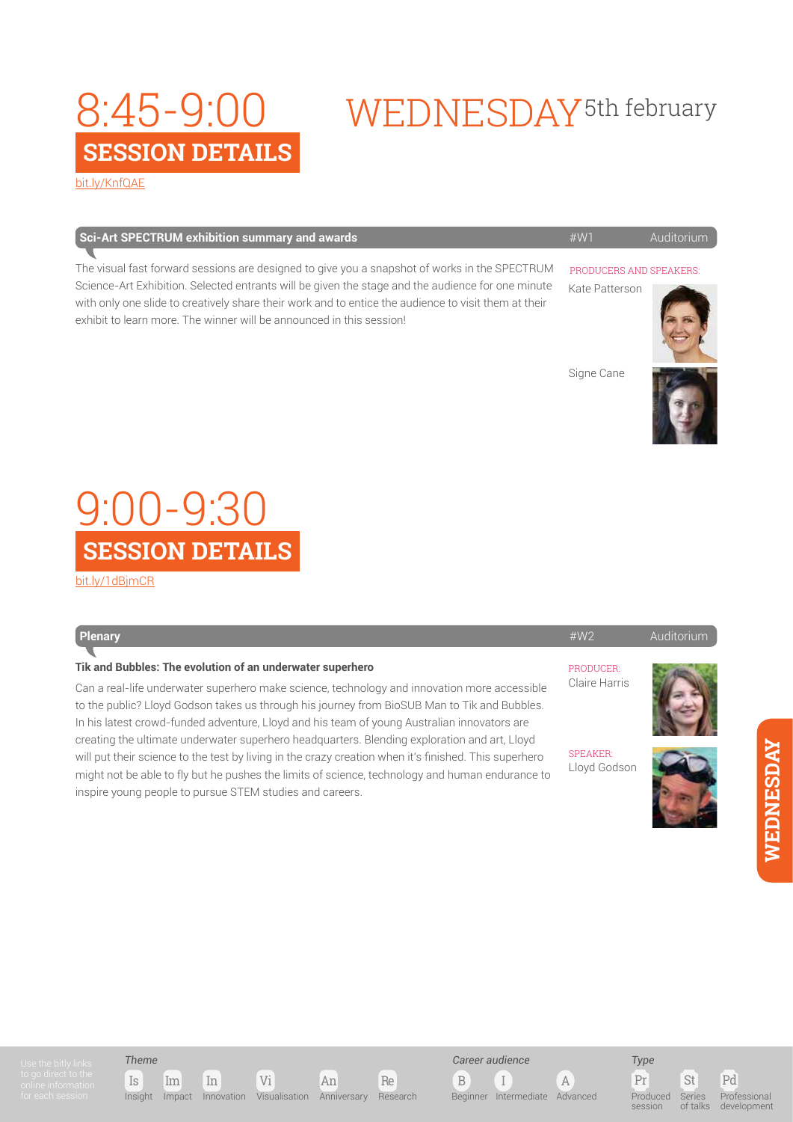## **SESSION DETAILS** 8:45-9:00

# WEDNESDAY<sup>5th</sup> february

[bit.ly/KnfQAE](http://bit.ly/
KnfQAE)

| Sci-Art SPECTRUM exhibition summary and awards | # $W1$ | Auditorium |
|------------------------------------------------|--------|------------|
|------------------------------------------------|--------|------------|

The visual fast forward sessions are designed to give you a snapshot of works in the SPECTRUM Science-Art Exhibition. Selected entrants will be given the stage and the audience for one minute with only one slide to creatively share their work and to entice the audience to visit them at their exhibit to learn more. The winner will be announced in this session!

### PRODUCERS AND SPEAKERS:

Kate Patterson



Signe Cane



### **SESSION DETAILS** 9:00-9:30

[bit.ly/1dBjmCR](http://bit.ly/
1dBjmCR)

| <b>Plenary</b>                                                                                                                                                                                                                                                                                                                                                                              | #W2                             | Auditorium |
|---------------------------------------------------------------------------------------------------------------------------------------------------------------------------------------------------------------------------------------------------------------------------------------------------------------------------------------------------------------------------------------------|---------------------------------|------------|
| Tik and Bubbles: The evolution of an underwater superhero                                                                                                                                                                                                                                                                                                                                   | PRODUCER:                       |            |
| Can a real-life underwater superhero make science, technology and innovation more accessible<br>to the public? Lloyd Godson takes us through his journey from BioSUB Man to Tik and Bubbles.<br>In his latest crowd-funded adventure, Lloyd and his team of young Australian innovators are<br>creating the ultimate underwater superhero headquarters. Blending exploration and art, Lloyd | Claire Harris                   |            |
| will put their science to the test by living in the crazy creation when it's finished. This superhero<br>might not be able to fly but he pushes the limits of science, technology and human endurance to<br>inspire young people to pursue STEM studies and careers.                                                                                                                        | <b>SPEAKER:</b><br>Lloyd Godson |            |
|                                                                                                                                                                                                                                                                                                                                                                                             |                                 |            |

### *Theme*





B I A *Career audience* Beginner Intermediate Advanced

*Type* Produced

session

Pr St Pd of talks Professional development

Series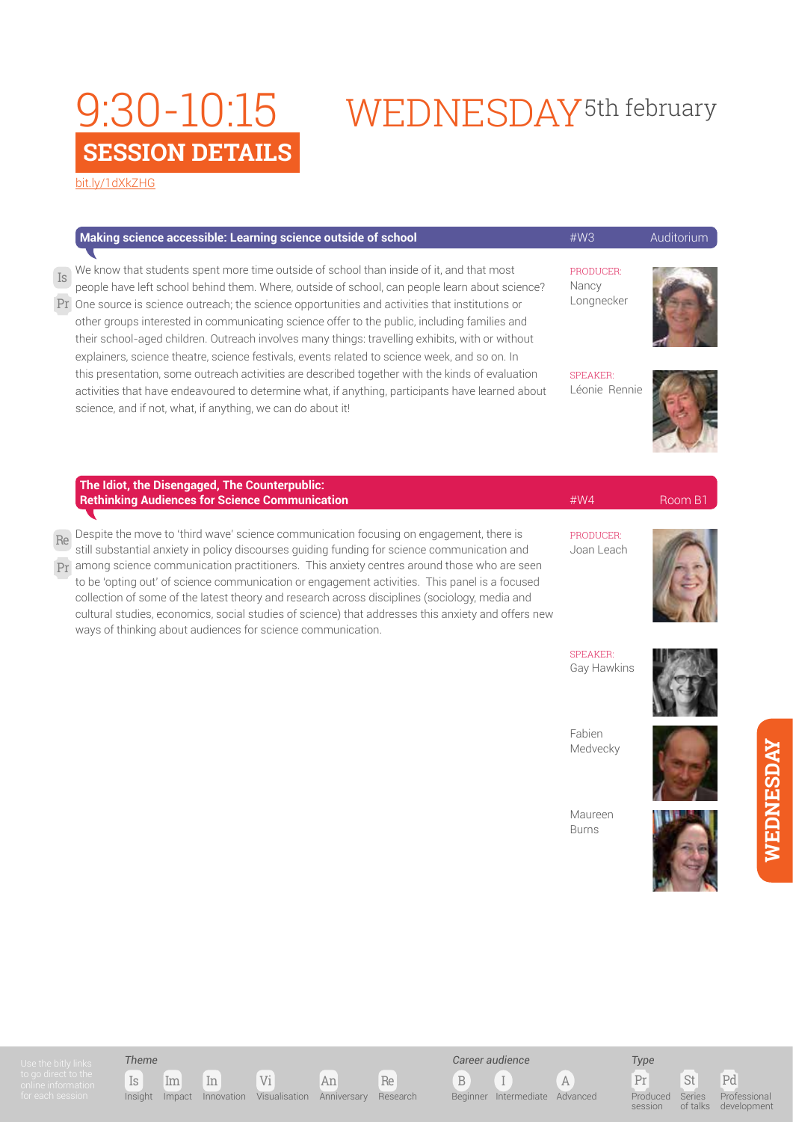# 9:30-10:15 WEDNESDAY<sup>5th february</sup>

[bit.ly/1dXkZHG](http://bit.ly/
1dXkZHG)

|          | Making science accessible: Learning science outside of school                                                                                                                                                                                                                                                                                                                                                                                                                                                                                                                                                                                               | #W3                              | Auditorium |
|----------|-------------------------------------------------------------------------------------------------------------------------------------------------------------------------------------------------------------------------------------------------------------------------------------------------------------------------------------------------------------------------------------------------------------------------------------------------------------------------------------------------------------------------------------------------------------------------------------------------------------------------------------------------------------|----------------------------------|------------|
| Is       | We know that students spent more time outside of school than inside of it, and that most<br>people have left school behind them. Where, outside of school, can people learn about science?<br>Pr One source is science outreach; the science opportunities and activities that institutions or<br>other groups interested in communicating science offer to the public, including families and<br>their school-aged children. Outreach involves many things: travelling exhibits, with or without<br>explainers, science theatre, science festivals, events related to science week, and so on. In                                                          | PRODUCER:<br>Nancy<br>Longnecker |            |
|          | this presentation, some outreach activities are described together with the kinds of evaluation<br>activities that have endeavoured to determine what, if anything, participants have learned about<br>science, and if not, what, if anything, we can do about it!                                                                                                                                                                                                                                                                                                                                                                                          | <b>SPEAKER:</b><br>Léonie Rennie |            |
|          | The Idiot, the Disengaged, The Counterpublic:<br><b>Rethinking Audiences for Science Communication</b>                                                                                                                                                                                                                                                                                                                                                                                                                                                                                                                                                      | #WA                              | Room B1    |
| Re<br>Pr | Despite the move to 'third wave' science communication focusing on engagement, there is<br>still substantial anxiety in policy discourses guiding funding for science communication and<br>among science communication practitioners. This anxiety centres around those who are seen<br>to be 'opting out' of science communication or engagement activities. This panel is a focused<br>collection of some of the latest theory and research across disciplines (sociology, media and<br>cultural studies, economics, social studies of science) that addresses this anxiety and offers new<br>ways of thinking about audiences for science communication. | PRODUCER:<br>Joan Leach          |            |
|          |                                                                                                                                                                                                                                                                                                                                                                                                                                                                                                                                                                                                                                                             | <b>SPEAKER:</b><br>Gay Hawkins   |            |
|          |                                                                                                                                                                                                                                                                                                                                                                                                                                                                                                                                                                                                                                                             | Fabien<br>Medvecky               |            |
|          |                                                                                                                                                                                                                                                                                                                                                                                                                                                                                                                                                                                                                                                             | Maureen<br><b>Burns</b>          |            |







Pr St Pd Produced session

Series of talks Professional development

**WEDNESDAY**

WEDNESDAY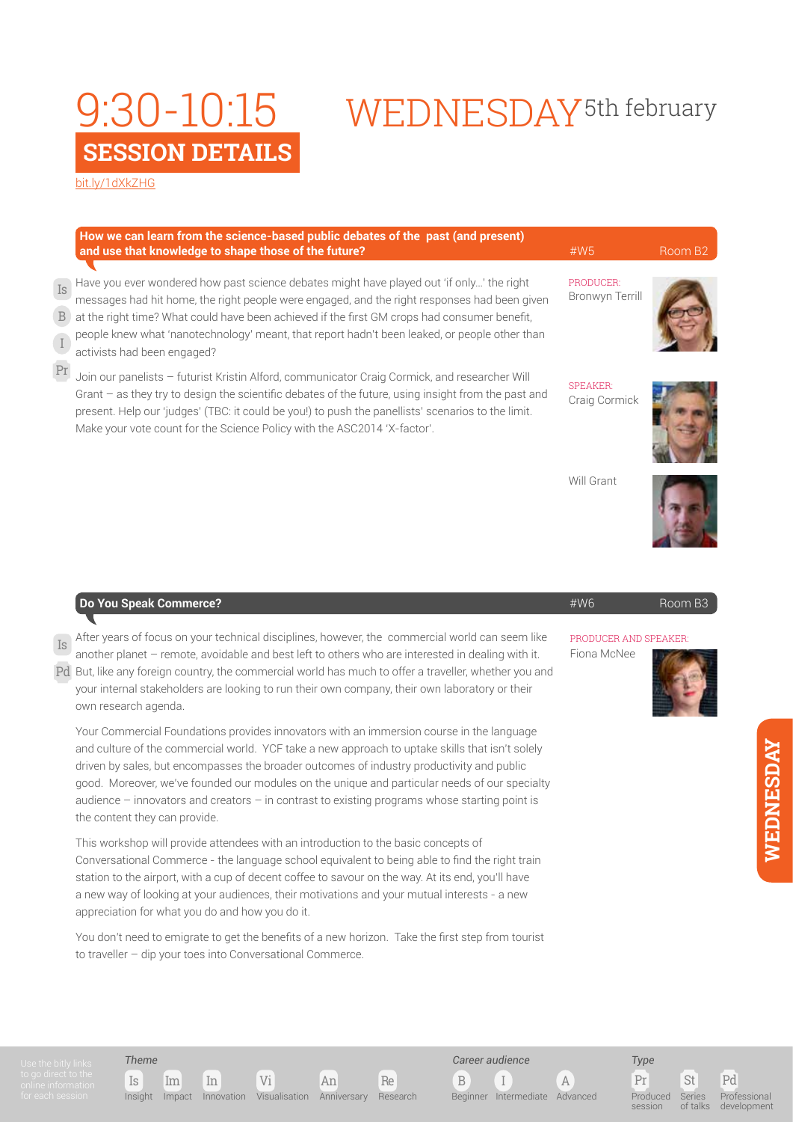## **SESSION DETAIL** 9:30-10:15

### [bit.ly/1dXkZHG](http://bit.ly/
1dXkZHG)

|              | <b>WEDNESDAY</b> <sup>5th february</sup> |
|--------------|------------------------------------------|
| $\mathbf{S}$ |                                          |

PRODUCER: Bronwyn Terrill SPEAKER: Craig Cormick **and use that knowledge to shape those of the future? All and use that knowledge to shape those of the future?** Have you ever wondered how past science debates might have played out 'if only…' the right messages had hit home, the right people were engaged, and the right responses had been given at the right time? What could have been achieved if the first GM crops had consumer benefit, people knew what 'nanotechnology' meant, that report hadn't been leaked, or people other than activists had been engaged? Join our panelists – futurist Kristin Alford, communicator Craig Cormick, and researcher Will Grant – as they try to design the scientific debates of the future, using insight from the past and present. Help our 'judges' (TBC: it could be you!) to push the panellists' scenarios to the limit. Is Pr B I

**How we can learn from the science-based public debates of the past (and present)** 

Make your vote count for the Science Policy with the ASC2014 'X-factor'.



Will Grant



| Is After years of focus on your technical disciplines, however, the commercial world can seem like<br>another planet - remote, avoidable and best left to others who are interested in dealing with it.<br>Pd But, like any foreign country, the commercial world has much to offer a traveller, whether you and<br>your internal stakeholders are looking to run their own company, their own laboratory or their<br>own research agenda.                                                                                                                                           | PRODUCER AND SPEAKER:<br>Fiona McNee |  |
|--------------------------------------------------------------------------------------------------------------------------------------------------------------------------------------------------------------------------------------------------------------------------------------------------------------------------------------------------------------------------------------------------------------------------------------------------------------------------------------------------------------------------------------------------------------------------------------|--------------------------------------|--|
| Your Commercial Foundations provides innovators with an immersion course in the language<br>and culture of the commercial world. YCF take a new approach to uptake skills that isn't solely<br>driven by sales, but encompasses the broader outcomes of industry productivity and public<br>$\mathbf{1}$ , and $\mathbf{1}$ , and $\mathbf{1}$ , and $\mathbf{1}$ , and $\mathbf{1}$ , and $\mathbf{1}$ , and $\mathbf{1}$ , and $\mathbf{1}$ , and $\mathbf{1}$ , and $\mathbf{1}$ , and $\mathbf{1}$ , and $\mathbf{1}$ , and $\mathbf{1}$ , and $\mathbf{1}$ , and $\mathbf{1}$ , |                                      |  |

**Do You Speak Commerce?** #W6 Room B3

good. Moreover, we've founded our modules on the unique and particular needs of our specialty audience – innovators and creators – in contrast to existing programs whose starting point is the content they can provide.

This workshop will provide attendees with an introduction to the basic concepts of Conversational Commerce - the language school equivalent to being able to find the right train station to the airport, with a cup of decent coffee to savour on the way. At its end, you'll have a new way of looking at your audiences, their motivations and your mutual interests - a new appreciation for what you do and how you do it.

You don't need to emigrate to get the benefits of a new horizon. Take the first step from tourist to traveller – dip your toes into Conversational Commerce.



*Theme*

Is Im In Vi An Re Insight Impact Innovation Visualisation Anniversary Research



B I A Beginner Intermediate Advanced

Produced session

*Type*

Pr St Pd Series of talks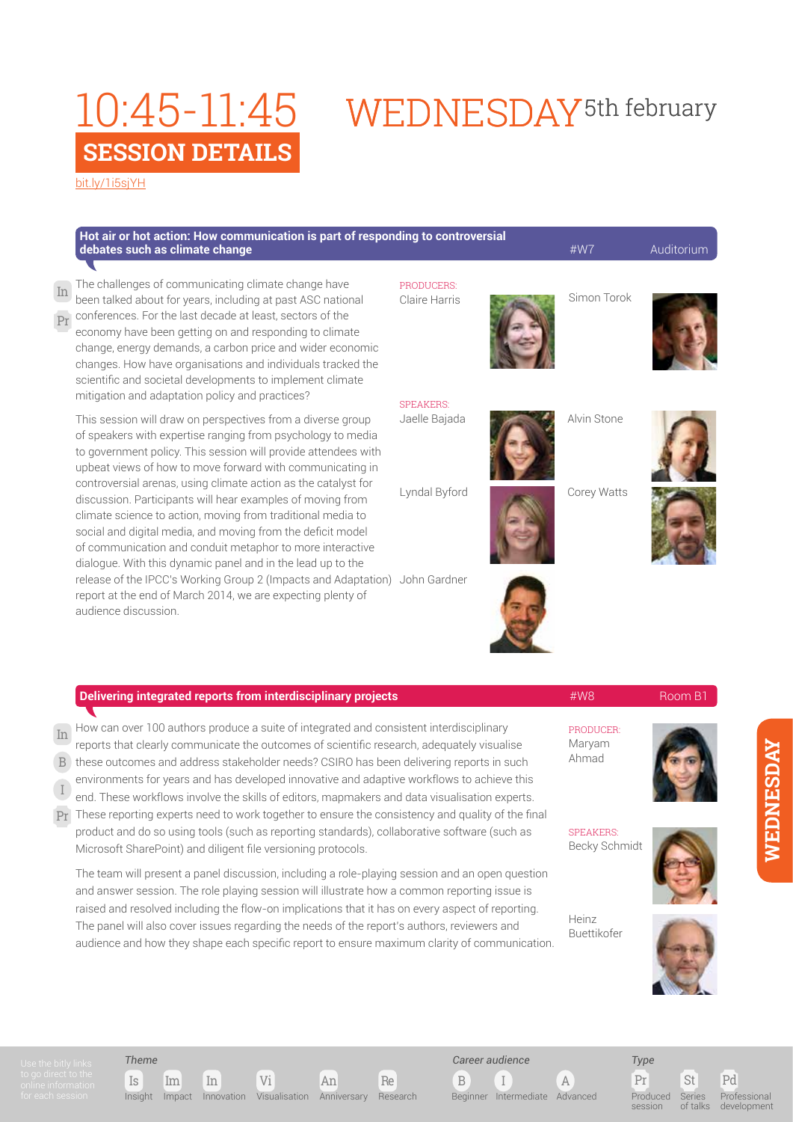mitigation and adaptation policy and practices?

# WEDNESDAY<sup>5th</sup> february

[bit.ly/1i5sjYH](http://bit.ly/
1i5sjYH)

Pr

| Hot air or hot action: How communication is part of responding to controversial<br>debates such as climate change                                                                                                                                                                                                                                                                                                                                                       |                             | #W7         | Auditorium |
|-------------------------------------------------------------------------------------------------------------------------------------------------------------------------------------------------------------------------------------------------------------------------------------------------------------------------------------------------------------------------------------------------------------------------------------------------------------------------|-----------------------------|-------------|------------|
| In The challenges of communicating climate change have<br>been talked about for years, including at past ASC national<br>$\overline{\mathrm{P}\mathrm{r}}$ conferences. For the last decade at least, sectors of the<br>economy have been getting on and responding to climate<br>change, energy demands, a carbon price and wider economic<br>changes. How have organisations and individuals tracked the<br>scientific and societal developments to implement climate | PRODUCERS:<br>Claire Harris | Simon Torok |            |

This session will draw on perspectives from a diverse group of speakers with expertise ranging from psychology to media to government policy. This session will provide attendees with upbeat views of how to move forward with communicating in controversial arenas, using climate action as the catalyst for discussion. Participants will hear examples of moving from climate science to action, moving from traditional media to social and digital media, and moving from the deficit model of communication and conduit metaphor to more interactive dialogue. With this dynamic panel and in the lead up to the release of the IPCC's Working Group 2 (Impacts and Adaptation) John Gardner report at the end of March 2014, we are expecting plenty of audience discussion. Lyndal Byford

### **Delivering integrated reports from interdisciplinary projects All and Manual Advisory Room B1** Room B1

How can over 100 authors produce a suite of integrated and consistent interdisciplinary In

reports that clearly communicate the outcomes of scientific research, adequately visualise

these outcomes and address stakeholder needs? CSIRO has been delivering reports in such environments for years and has developed innovative and adaptive workflows to achieve this B

end. These workflows involve the skills of editors, mapmakers and data visualisation experts. I

 $\rm{p_T}$  These reporting experts need to work together to ensure the consistency and quality of the final product and do so using tools (such as reporting standards), collaborative software (such as Microsoft SharePoint) and diligent file versioning protocols.

The team will present a panel discussion, including a role-playing session and an open question and answer session. The role playing session will illustrate how a common reporting issue is raised and resolved including the flow-on implications that it has on every aspect of reporting. The panel will also cover issues regarding the needs of the report's authors, reviewers and audience and how they shape each specific report to ensure maximum clarity of communication.



SPEAKERS: Jaelle Bajada



Alvin Stone



Corey Watts





**SPEAKERS** Becky Schmidt

PRODUCER: Maryam Ahmad



Heinz Buettikofer



*Theme*

Is Im In Vi An Re

Insight Impact Innovation Visualisation Anniversary Research

B I A *Career audience*

Beginner Intermediate Advanced

Produced session

*Type*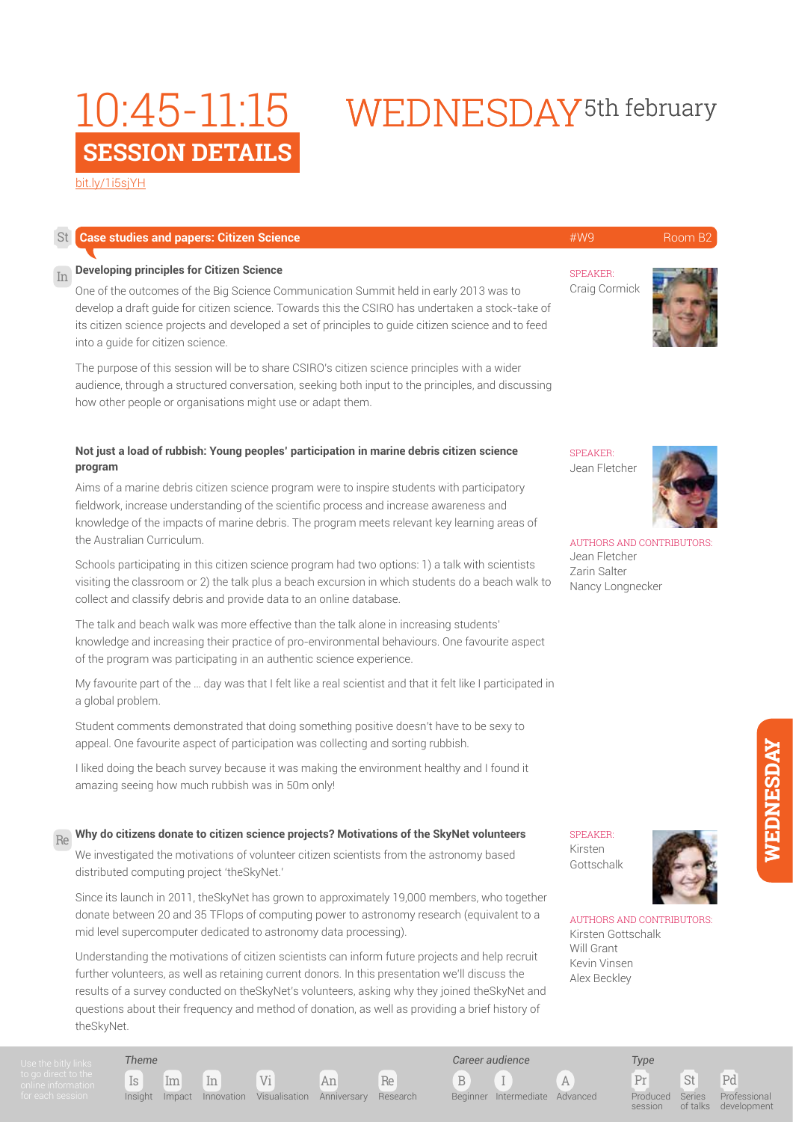### [bit.ly/1i5sjYH](http://bit.ly/
1i5sjYH)

| St <sub>1</sub> | <b>Case studies and papers: Citizen Science</b>                                                                                                                                                                                                                                                                                                                                                                                                                                                                                | #W9                                                                                                  | Room B2 |
|-----------------|--------------------------------------------------------------------------------------------------------------------------------------------------------------------------------------------------------------------------------------------------------------------------------------------------------------------------------------------------------------------------------------------------------------------------------------------------------------------------------------------------------------------------------|------------------------------------------------------------------------------------------------------|---------|
| In              | <b>Developing principles for Citizen Science</b><br>One of the outcomes of the Big Science Communication Summit held in early 2013 was to<br>develop a draft quide for citizen science. Towards this the CSIRO has undertaken a stock-take of<br>its citizen science projects and developed a set of principles to quide citizen science and to feed<br>into a quide for citizen science.                                                                                                                                      | <b>SPEAKER:</b><br>Craig Cormick                                                                     |         |
|                 | The purpose of this session will be to share CSIRO's citizen science principles with a wider<br>audience, through a structured conversation, seeking both input to the principles, and discussing<br>how other people or organisations might use or adapt them.                                                                                                                                                                                                                                                                |                                                                                                      |         |
|                 | Not just a load of rubbish: Young peoples' participation in marine debris citizen science<br>program<br>Aims of a marine debris citizen science program were to inspire students with participatory<br>fieldwork, increase understanding of the scientific process and increase awareness and<br>knowledge of the impacts of marine debris. The program meets relevant key learning areas of<br>the Australian Curriculum.<br>Schools participating in this citizen science program had two options: 1) a talk with scientists | <b>SPEAKER:</b><br>Jean Fletcher<br><b>AUTHORS AND CONTRIBUTORS</b><br>Jean Fletcher<br>Zarin Salter |         |
|                 | visiting the classroom or 2) the talk plus a beach excursion in which students do a beach walk to<br>collect and classify debris and provide data to an online database.<br>The talk and beach walk was more effective than the talk alone in increasing students'<br>knowledge and increasing their practice of pro-environmental behaviours. One favourite aspect<br>of the program was participating in an authentic science experience.                                                                                    | Nancy Longnecker                                                                                     |         |
|                 | My favourite part of the  day was that I felt like a real scientist and that it felt like I participated in<br>a global problem.                                                                                                                                                                                                                                                                                                                                                                                               |                                                                                                      |         |
|                 | Student comments demonstrated that doing something positive doesn't have to be serve to                                                                                                                                                                                                                                                                                                                                                                                                                                        |                                                                                                      |         |

mments demonstrated that doing something p appeal. One favourite aspect of participation was collecting and sorting rubbish.

I liked doing the beach survey because it was making the environment healthy and I found it amazing seeing how much rubbish was in 50m only!

#### **Why do citizens donate to citizen science projects? Motivations of the SkyNet volunteers** Re

We investigated the motivations of volunteer citizen scientists from the astronomy based distributed computing project 'theSkyNet.'

Since its launch in 2011, theSkyNet has grown to approximately 19,000 members, who together donate between 20 and 35 TFlops of computing power to astronomy research (equivalent to a mid level supercomputer dedicated to astronomy data processing).

Understanding the motivations of citizen scientists can inform future projects and help recruit further volunteers, as well as retaining current donors. In this presentation we'll discuss the results of a survey conducted on theSkyNet's volunteers, asking why they joined theSkyNet and questions about their frequency and method of donation, as well as providing a brief history of theSkyNet.

*Theme*

Is Im In Vi An Re Insight Impact Innovation Visualisation Anniversary Research

B I A *Career audience*

Beginner Intermediate Advanced

Pr St Pd *Type* Produced

AUTHORS AND CONTRIBUTORS:

Kirsten Gottschalk Will Grant Kevin Vinsen Alex Beckley

SPEAKER: Kirsten **Gottschalk** 

session

Series of talks

Professional development

# WEDNESDAY<sup>5th</sup> february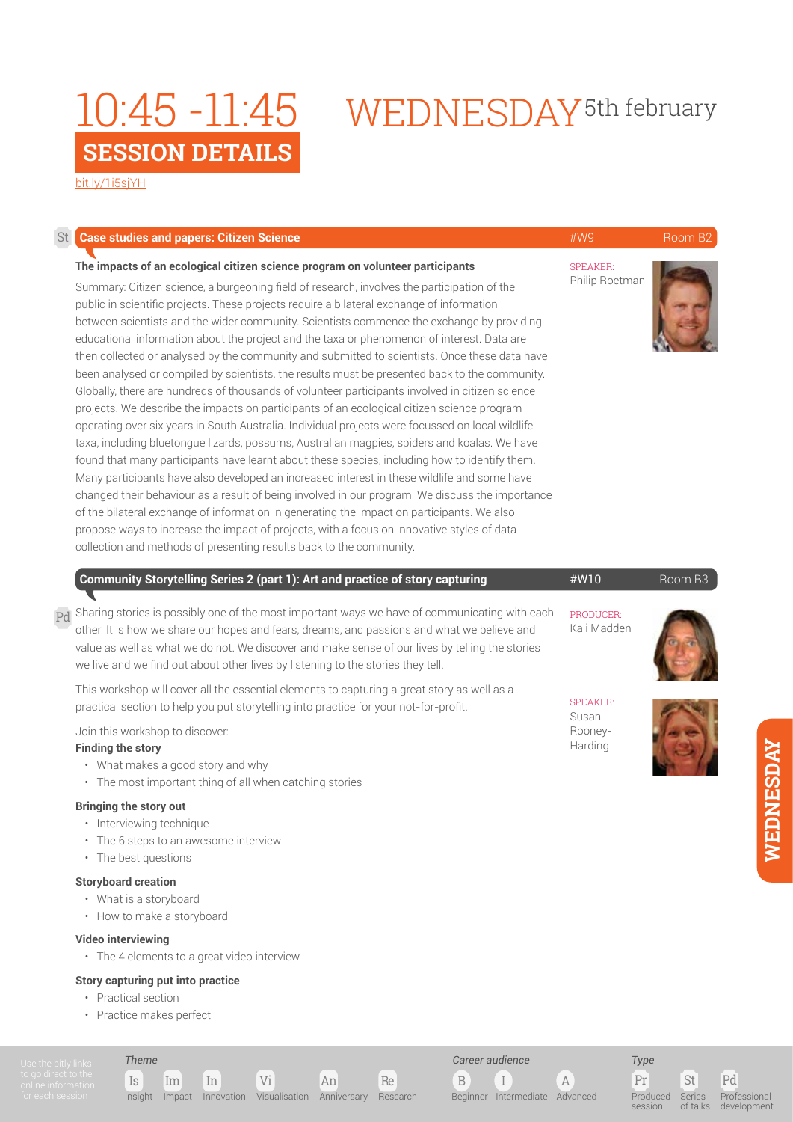# WEDNESDAY5th february 10:45 -11:45

[bit.ly/1i5sjYH](http://bit.ly/
1i5sjYH)

| St | <b>Case studies and papers: Citizen Science</b>                                                                                                                                                                                                                                                                                                                                                                                                                                                                                                                                                                                                                                                                                                                                                                                                                                                                                                                                                                                                                                                                                                                                                                                                                                                                                                                                                                                                                                                                                                                                                                                                    | #W9                                            | Room B <sub>2</sub> |
|----|----------------------------------------------------------------------------------------------------------------------------------------------------------------------------------------------------------------------------------------------------------------------------------------------------------------------------------------------------------------------------------------------------------------------------------------------------------------------------------------------------------------------------------------------------------------------------------------------------------------------------------------------------------------------------------------------------------------------------------------------------------------------------------------------------------------------------------------------------------------------------------------------------------------------------------------------------------------------------------------------------------------------------------------------------------------------------------------------------------------------------------------------------------------------------------------------------------------------------------------------------------------------------------------------------------------------------------------------------------------------------------------------------------------------------------------------------------------------------------------------------------------------------------------------------------------------------------------------------------------------------------------------------|------------------------------------------------|---------------------|
|    | The impacts of an ecological citizen science program on volunteer participants<br>Summary: Citizen science, a burgeoning field of research, involves the participation of the<br>public in scientific projects. These projects require a bilateral exchange of information<br>between scientists and the wider community. Scientists commence the exchange by providing<br>educational information about the project and the taxa or phenomenon of interest. Data are<br>then collected or analysed by the community and submitted to scientists. Once these data have<br>been analysed or compiled by scientists, the results must be presented back to the community.<br>Globally, there are hundreds of thousands of volunteer participants involved in citizen science<br>projects. We describe the impacts on participants of an ecological citizen science program<br>operating over six years in South Australia. Individual projects were focussed on local wildlife<br>taxa, including bluetongue lizards, possums, Australian magpies, spiders and koalas. We have<br>found that many participants have learnt about these species, including how to identify them.<br>Many participants have also developed an increased interest in these wildlife and some have<br>changed their behaviour as a result of being involved in our program. We discuss the importance<br>of the bilateral exchange of information in generating the impact on participants. We also<br>propose ways to increase the impact of projects, with a focus on innovative styles of data<br>collection and methods of presenting results back to the community. | <b>SPEAKER:</b><br>Philip Roetman              |                     |
| Pd | Community Storytelling Series 2 (part 1): Art and practice of story capturing<br>Sharing stories is possibly one of the most important ways we have of communicating with each<br>other. It is how we share our hopes and fears, dreams, and passions and what we believe and<br>value as well as what we do not. We discover and make sense of our lives by telling the stories<br>we live and we find out about other lives by listening to the stories they tell.                                                                                                                                                                                                                                                                                                                                                                                                                                                                                                                                                                                                                                                                                                                                                                                                                                                                                                                                                                                                                                                                                                                                                                               | #W10<br>PRODUCER:<br>Kali Madden               | Room B3             |
|    | This workshop will cover all the essential elements to capturing a great story as well as a<br>practical section to help you put storytelling into practice for your not-for-profit.<br>Join this workshop to discover:<br><b>Finding the story</b><br>• What makes a good story and why<br>• The most important thing of all when catching stories<br><b>Bringing the story out</b><br>· Interviewing technique<br>• The 6 steps to an awesome interview<br>• The best questions                                                                                                                                                                                                                                                                                                                                                                                                                                                                                                                                                                                                                                                                                                                                                                                                                                                                                                                                                                                                                                                                                                                                                                  | <b>SPEAKER:</b><br>Susan<br>Rooney-<br>Harding |                     |
|    | <b>Storyboard creation</b><br>• What is a storyboard<br>• How to make a storyboard<br><b>Video interviewing</b><br>• The 4 elements to a great video interview<br><b>Story capturing put into practice</b><br>• Practical section<br>• Practice makes perfect                                                                                                                                                                                                                                                                                                                                                                                                                                                                                                                                                                                                                                                                                                                                                                                                                                                                                                                                                                                                                                                                                                                                                                                                                                                                                                                                                                                      |                                                |                     |

Is Im In Vi An Re

Insight Impact Innovation Visualisation Anniversary Research

*Theme*

WEDNESDAY **WEDNESDAY**

*Type*

 $\begin{array}{ccc} \text{B} & \text{I} & \text{A} \end{array}$ 

Beginner Intermediate Advanced

*Career audience*

Produced session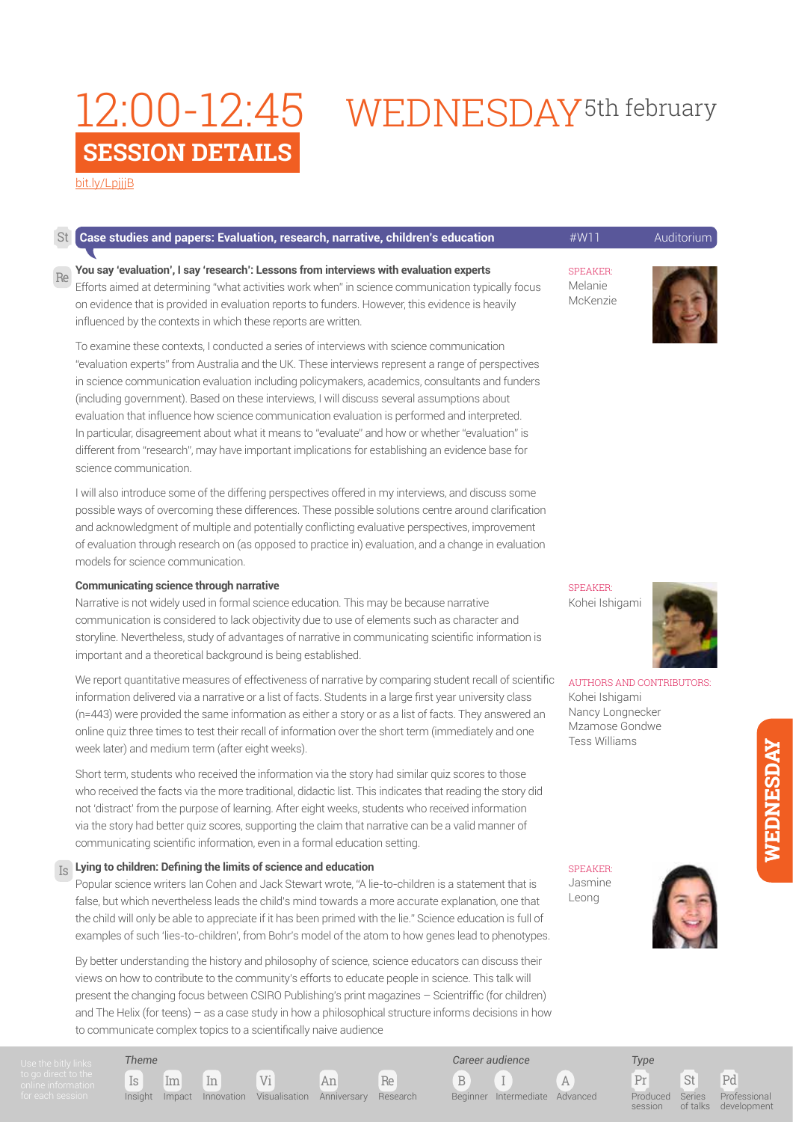### **SESSION DETAILS** 12:00-12:45

# WEDNESDAY<sup>5th</sup> february

[bit.ly/LpjjjB](http://bit.ly/
LpjjjB)

|    | <b>St</b> Case studies and papers: Evaluation, research, narrative, children's education                                                                                                                                                                                                                                                                                                                                                                                                                                                                                                                                                                                                                                          | $\#$ M/11                              | Auditorium |
|----|-----------------------------------------------------------------------------------------------------------------------------------------------------------------------------------------------------------------------------------------------------------------------------------------------------------------------------------------------------------------------------------------------------------------------------------------------------------------------------------------------------------------------------------------------------------------------------------------------------------------------------------------------------------------------------------------------------------------------------------|----------------------------------------|------------|
| Re | You say 'evaluation', I say 'research': Lessons from interviews with evaluation experts<br>Efforts aimed at determining "what activities work when" in science communication typically focus<br>on evidence that is provided in evaluation reports to funders. However, this evidence is heavily<br>influenced by the contexts in which these reports are written.                                                                                                                                                                                                                                                                                                                                                                | <b>SPEAKER:</b><br>Melanie<br>McKenzie |            |
|    | To examine these contexts, I conducted a series of interviews with science communication<br>"evaluation experts" from Australia and the UK. These interviews represent a range of perspectives<br>in science communication evaluation including policymakers, academics, consultants and funders<br>(including government). Based on these interviews, I will discuss several assumptions about<br>evaluation that influence how science communication evaluation is performed and interpreted.<br>In particular, disagreement about what it means to "evaluate" and how or whether "evaluation" is<br>different from "research", may have important implications for establishing an evidence base for<br>science communication. |                                        |            |

I will also introduce some of the differing perspectives offered in my interviews, and discuss some possible ways of overcoming these differences. These possible solutions centre around clarification and acknowledgment of multiple and potentially conflicting evaluative perspectives, improvement of evaluation through research on (as opposed to practice in) evaluation, and a change in evaluation models for science communication.

### **Communicating science through narrative**

Narrative is not widely used in formal science education. This may be because narrative communication is considered to lack objectivity due to use of elements such as character and storyline. Nevertheless, study of advantages of narrative in communicating scientific information is important and a theoretical background is being established.

We report quantitative measures of effectiveness of narrative by comparing student recall of scientific information delivered via a narrative or a list of facts. Students in a large first year university class (n=443) were provided the same information as either a story or as a list of facts. They answered an online quiz three times to test their recall of information over the short term (immediately and one week later) and medium term (after eight weeks).

Short term, students who received the information via the story had similar quiz scores to those who received the facts via the more traditional, didactic list. This indicates that reading the story did not 'distract' from the purpose of learning. After eight weeks, students who received information via the story had better quiz scores, supporting the claim that narrative can be a valid manner of communicating scientific information, even in a formal education setting.

#### **Lying to children: Defining the limits of science and education** Is

Popular science writers Ian Cohen and Jack Stewart wrote, "A lie-to-children is a statement that is false, but which nevertheless leads the child's mind towards a more accurate explanation, one that the child will only be able to appreciate if it has been primed with the lie." Science education is full of examples of such 'lies-to-children', from Bohr's model of the atom to how genes lead to phenotypes.

By better understanding the history and philosophy of science, science educators can discuss their views on how to contribute to the community's efforts to educate people in science. This talk will present the changing focus between CSIRO Publishing's print magazines – Scientriffic (for children) and The Helix (for teens) – as a case study in how a philosophical structure informs decisions in how to communicate complex topics to a scientifically naive audience

SPEAKER:

Kohei Ishigami



AUTHORS AND CONTRIBUTORS: Kohei Ishigami Nancy Longnecker Mzamose Gondwe Tess Williams

SPEAKER: Jasmine Leong



Pr St Pd *Type* Produced Series of talks

session

Professional development

Is Im In Vi An Re *Theme*

Insight Impact Innovation Visualisation Anniversary Research

B I A

*Career audience*

Beginner Intermediate Advanced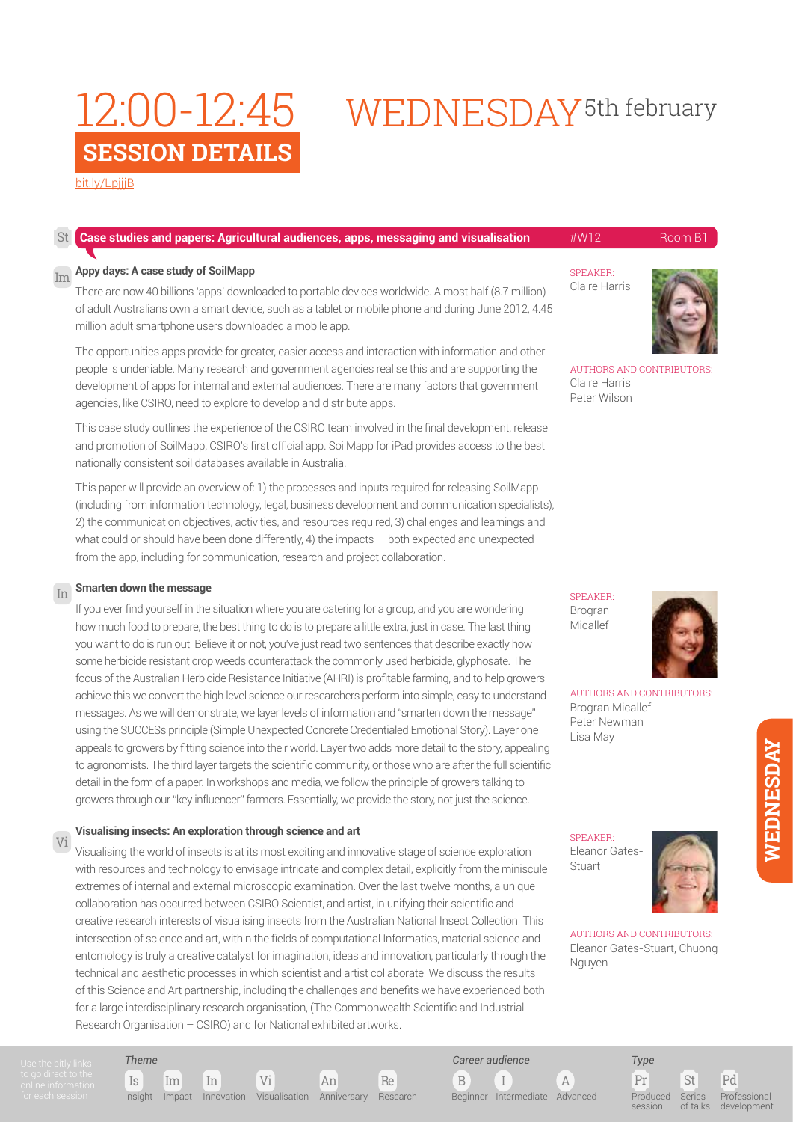### **SESSION DETAILS** 12:00-12:45

# WEDNESDAY<sup>5th</sup> february

[bit.ly/LpjjjB](http://bit.ly/
LpjjjB)

| St | Case studies and papers: Agricultural audiences, apps, messaging and visualisation                                                                                                                                                                                                                                                                                                  | #W12                                                      | Room B1 |
|----|-------------------------------------------------------------------------------------------------------------------------------------------------------------------------------------------------------------------------------------------------------------------------------------------------------------------------------------------------------------------------------------|-----------------------------------------------------------|---------|
|    | $\overline{\mathrm{Im}}$ Appy days: A case study of SoilMapp<br>There are now 40 billions 'apps' downloaded to portable devices worldwide. Almost half (8.7 million)<br>of adult Australians own a smart device, such as a tablet or mobile phone and during June 2012, 4.45<br>million adult smartphone users downloaded a mobile app.                                             | <b>SPEAKER:</b><br>Claire Harris                          |         |
|    | The opportunities apps provide for greater, easier access and interaction with information and other<br>people is undeniable. Many research and government agencies realise this and are supporting the<br>development of apps for internal and external audiences. There are many factors that government<br>agencies, like CSIRO, need to explore to develop and distribute apps. | AUTHORS AND CONTRIBUTORS<br>Claire Harris<br>Peter Wilson |         |
|    | This case study outlines the experience of the CSIRO team involved in the final development release                                                                                                                                                                                                                                                                                 |                                                           |         |

This case study outlines the experience of the CSIRO team involved in the final development, release and promotion of SoilMapp, CSIRO's first official app. SoilMapp for iPad provides access to the best nationally consistent soil databases available in Australia.

This paper will provide an overview of: 1) the processes and inputs required for releasing SoilMapp (including from information technology, legal, business development and communication specialists), 2) the communication objectives, activities, and resources required, 3) challenges and learnings and what could or should have been done differently, 4) the impacts  $-$  both expected and unexpected  $$ from the app, including for communication, research and project collaboration.

#### **Smarten down the message**  In

If you ever find yourself in the situation where you are catering for a group, and you are wondering how much food to prepare, the best thing to do is to prepare a little extra, just in case. The last thing you want to do is run out. Believe it or not, you've just read two sentences that describe exactly how some herbicide resistant crop weeds counterattack the commonly used herbicide, glyphosate. The focus of the Australian Herbicide Resistance Initiative (AHRI) is profitable farming, and to help growers achieve this we convert the high level science our researchers perform into simple, easy to understand messages. As we will demonstrate, we layer levels of information and "smarten down the message" using the SUCCESs principle (Simple Unexpected Concrete Credentialed Emotional Story). Layer one appeals to growers by fitting science into their world. Layer two adds more detail to the story, appealing to agronomists. The third layer targets the scientific community, or those who are after the full scientific detail in the form of a paper. In workshops and media, we follow the principle of growers talking to growers through our "key influencer" farmers. Essentially, we provide the story, not just the science.

#### **Visualising insects: An exploration through science and art**  Vi

Visualising the world of insects is at its most exciting and innovative stage of science exploration with resources and technology to envisage intricate and complex detail, explicitly from the miniscule extremes of internal and external microscopic examination. Over the last twelve months, a unique collaboration has occurred between CSIRO Scientist, and artist, in unifying their scientific and creative research interests of visualising insects from the Australian National Insect Collection. This intersection of science and art, within the fields of computational Informatics, material science and entomology is truly a creative catalyst for imagination, ideas and innovation, particularly through the technical and aesthetic processes in which scientist and artist collaborate. We discuss the results of this Science and Art partnership, including the challenges and benefits we have experienced both for a large interdisciplinary research organisation, (The Commonwealth Scientific and Industrial Research Organisation – CSIRO) and for National exhibited artworks.



SPEAKER: Brogran Micallef



AUTHORS AND CONTRIBUTORS: Brogran Micallef Peter Newman Lisa May

SPEAKER: Eleanor Gates-Stuart



AUTHORS AND CONTRIBUTORS: Eleanor Gates-Stuart, Chuong Nguyen

*Theme*

Is Im In Vi An Re

Insight Impact Innovation Visualisation Anniversary Research

B I A

*Career audience*

Beginner Intermediate Advanced

Pr St Pd *Type* Produced

session

Series of talks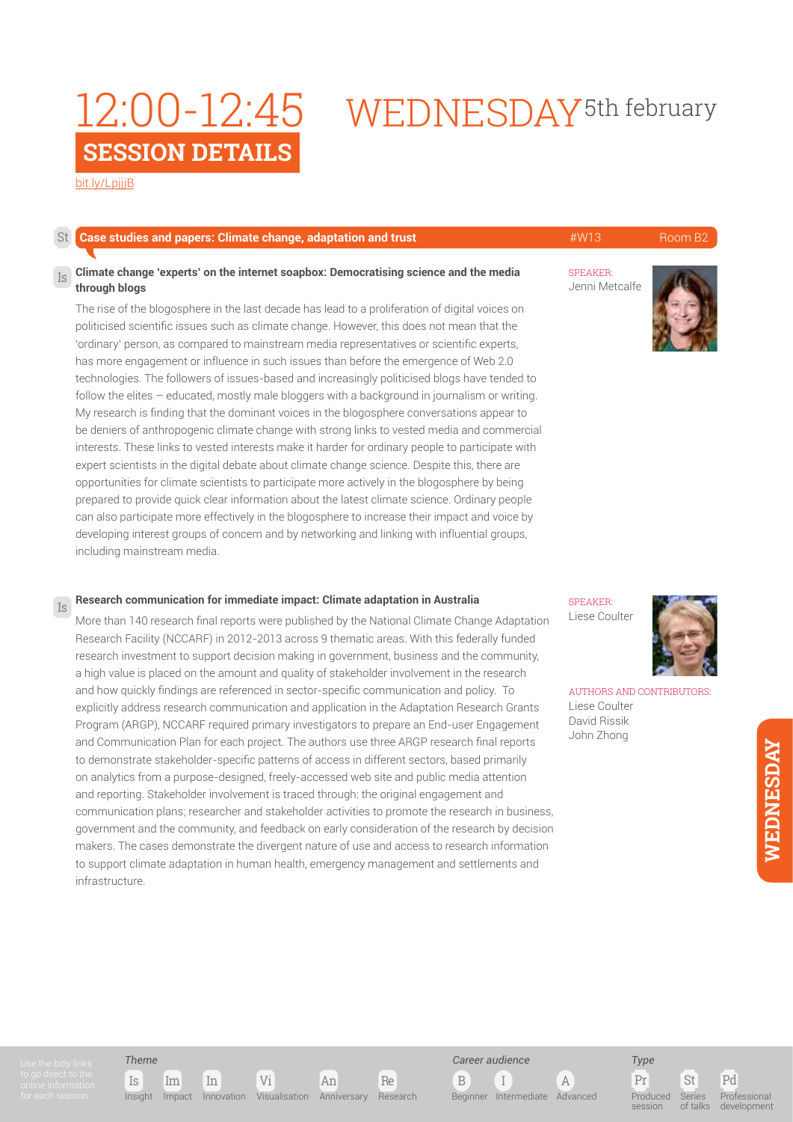### **SESSION DETAILS** 12:00-12:45

# WEDNESDAY<sup>5th</sup> february

[bit.ly/LpjjjB](http://bit.ly/
LpjjjB)

#### SPEAKER: Jenni Metcalfe **Case studies and papers: Climate change, adaptation and trust Account AMEL ARE ADAPTE ARE ADAPTE AT A ROOM B2 Climate change 'experts' on the internet soapbox: Democratising science and the media through blogs**  The rise of the blogosphere in the last decade has lead to a proliferation of digital voices on politicised scientific issues such as climate change. However, this does not mean that the 'ordinary' person, as compared to mainstream media representatives or scientific experts, has more engagement or influence in such issues than before the emergence of Web 2.0 technologies. The followers of issues-based and increasingly politicised blogs have tended to follow the elites – educated, mostly male bloggers with a background in journalism or writing. Is St

My research is finding that the dominant voices in the blogosphere conversations appear to be deniers of anthropogenic climate change with strong links to vested media and commercial interests. These links to vested interests make it harder for ordinary people to participate with expert scientists in the digital debate about climate change science. Despite this, there are opportunities for climate scientists to participate more actively in the blogosphere by being prepared to provide quick clear information about the latest climate science. Ordinary people can also participate more effectively in the blogosphere to increase their impact and voice by developing interest groups of concern and by networking and linking with influential groups, including mainstream media.

### **Research communication for immediate impact: Climate adaptation in Australia**

More than 140 research final reports were published by the National Climate Change Adaptation Research Facility (NCCARF) in 2012-2013 across 9 thematic areas. With this federally funded research investment to support decision making in government, business and the community, a high value is placed on the amount and quality of stakeholder involvement in the research and how quickly findings are referenced in sector-specific communication and policy. To explicitly address research communication and application in the Adaptation Research Grants Program (ARGP), NCCARF required primary investigators to prepare an End-user Engagement and Communication Plan for each project. The authors use three ARGP research final reports to demonstrate stakeholder-specific patterns of access in different sectors, based primarily on analytics from a purpose-designed, freely-accessed web site and public media attention and reporting. Stakeholder involvement is traced through: the original engagement and communication plans; researcher and stakeholder activities to promote the research in business, government and the community, and feedback on early consideration of the research by decision makers. The cases demonstrate the divergent nature of use and access to research information to support climate adaptation in human health, emergency management and settlements and infrastructure.

SPEAKER: Liese Coulter



AUTHORS AND CONTRIBUTORS: Liese Coulter David Rissik John Zhong

Is

### *Theme*









Pr St Pd Produced session Series of talks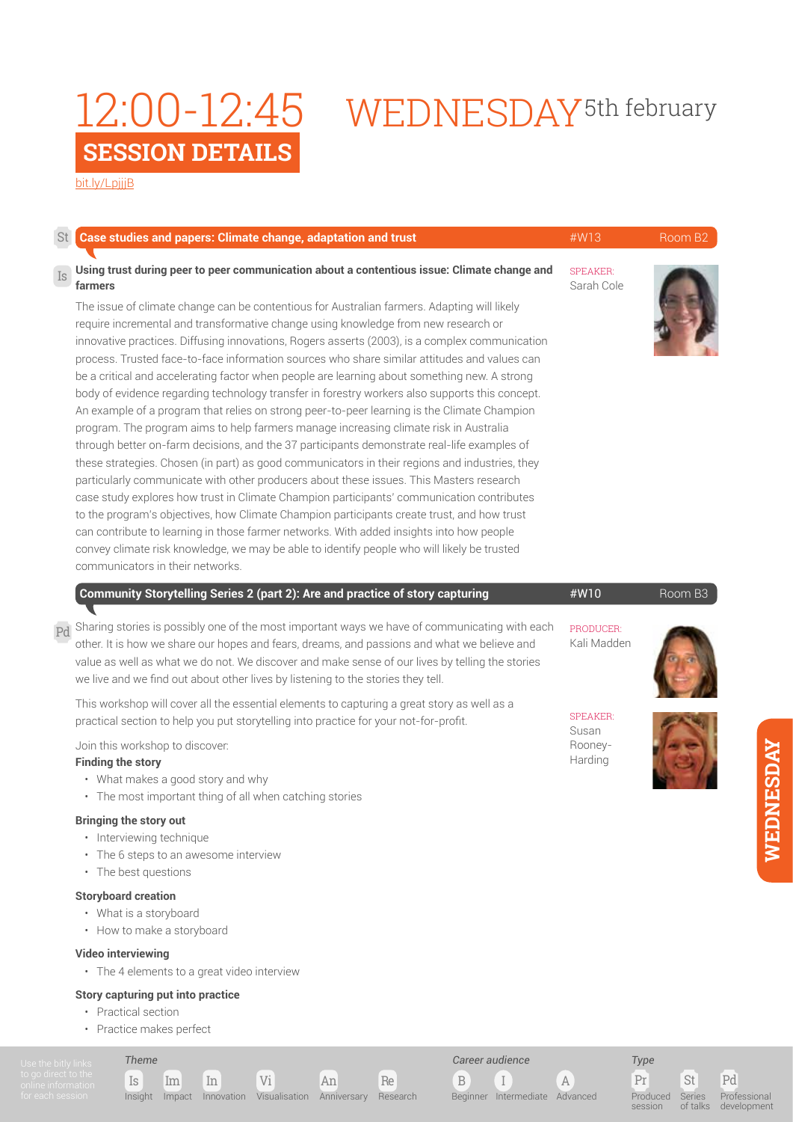# 12:00-12:45 WEDNESDAY<sup>5th february</sup>

[bit.ly/LpjjjB](http://bit.ly/
LpjjjB)

| St        | Case studies and papers: Climate change, adaptation and trust                                                                                                                                                                                                                                                                                                                                                                                                                                                                                                                                                                                                                                                                                                                                                                                                                                                                                                                                                                                                                                                                                                                                                                                                                                                                                                                                                                                                                                                                                                                                                 | #W13                          | Room B2 |
|-----------|---------------------------------------------------------------------------------------------------------------------------------------------------------------------------------------------------------------------------------------------------------------------------------------------------------------------------------------------------------------------------------------------------------------------------------------------------------------------------------------------------------------------------------------------------------------------------------------------------------------------------------------------------------------------------------------------------------------------------------------------------------------------------------------------------------------------------------------------------------------------------------------------------------------------------------------------------------------------------------------------------------------------------------------------------------------------------------------------------------------------------------------------------------------------------------------------------------------------------------------------------------------------------------------------------------------------------------------------------------------------------------------------------------------------------------------------------------------------------------------------------------------------------------------------------------------------------------------------------------------|-------------------------------|---------|
| Is        | Using trust during peer to peer communication about a contentious issue: Climate change and<br>farmers<br>The issue of climate change can be contentious for Australian farmers. Adapting will likely<br>require incremental and transformative change using knowledge from new research or<br>innovative practices. Diffusing innovations, Rogers asserts (2003), is a complex communication<br>process. Trusted face-to-face information sources who share similar attitudes and values can<br>be a critical and accelerating factor when people are learning about something new. A strong<br>body of evidence regarding technology transfer in forestry workers also supports this concept.<br>An example of a program that relies on strong peer-to-peer learning is the Climate Champion<br>program. The program aims to help farmers manage increasing climate risk in Australia<br>through better on-farm decisions, and the 37 participants demonstrate real-life examples of<br>these strategies. Chosen (in part) as good communicators in their regions and industries, they<br>particularly communicate with other producers about these issues. This Masters research<br>case study explores how trust in Climate Champion participants' communication contributes<br>to the program's objectives, how Climate Champion participants create trust, and how trust<br>can contribute to learning in those farmer networks. With added insights into how people<br>convey climate risk knowledge, we may be able to identify people who will likely be trusted<br>communicators in their networks. | <b>SPEAKER:</b><br>Sarah Cole |         |
|           | Community Storytelling Series 2 (part 2): Are and practice of story capturing                                                                                                                                                                                                                                                                                                                                                                                                                                                                                                                                                                                                                                                                                                                                                                                                                                                                                                                                                                                                                                                                                                                                                                                                                                                                                                                                                                                                                                                                                                                                 | #W10                          | Room B3 |
| <b>Pd</b> | Sharing stories is possibly one of the most important ways we have of communicating with each<br>other. It is how we share our hopes and fears, dreams, and passions and what we believe and<br>value as well as what we do not. We discover and make sense of our lives by telling the stories<br>we live and we find out about other lives by listening to the stories they tell.                                                                                                                                                                                                                                                                                                                                                                                                                                                                                                                                                                                                                                                                                                                                                                                                                                                                                                                                                                                                                                                                                                                                                                                                                           | PRODUCER:<br>Kali Madden      |         |
|           | This workshop will cover all the essential elements to capturing a great story as well as a<br>practical section to help you put storytelling into practice for your not-for-profit.                                                                                                                                                                                                                                                                                                                                                                                                                                                                                                                                                                                                                                                                                                                                                                                                                                                                                                                                                                                                                                                                                                                                                                                                                                                                                                                                                                                                                          | <b>SPEAKER:</b>               |         |
|           | Join this workshop to discover:<br><b>Finding the story</b><br>• What makes a good story and why<br>• The most important thing of all when catching stories                                                                                                                                                                                                                                                                                                                                                                                                                                                                                                                                                                                                                                                                                                                                                                                                                                                                                                                                                                                                                                                                                                                                                                                                                                                                                                                                                                                                                                                   | Susan<br>Rooney-<br>Harding   |         |
|           | <b>Bringing the story out</b><br>• Interviewing technique<br>• The 6 steps to an awesome interview<br>• The best questions                                                                                                                                                                                                                                                                                                                                                                                                                                                                                                                                                                                                                                                                                                                                                                                                                                                                                                                                                                                                                                                                                                                                                                                                                                                                                                                                                                                                                                                                                    |                               |         |
|           | <b>Storyboard creation</b>                                                                                                                                                                                                                                                                                                                                                                                                                                                                                                                                                                                                                                                                                                                                                                                                                                                                                                                                                                                                                                                                                                                                                                                                                                                                                                                                                                                                                                                                                                                                                                                    |                               |         |

- What is a storyboard
- How to make a storyboard

### **Video interviewing**

• The 4 elements to a great video interview

Is Im In Vi An Re

Insight Impact Innovation Visualisation Anniversary Research

### **Story capturing put into practice**

- Practical section
- Practice makes perfect

*Theme*

**WEDNESDAY**

WEDNESDAY

Pr St Pd Produced **session** 

*Type*

B I A

Beginner Intermediate Advanced

*Career audience*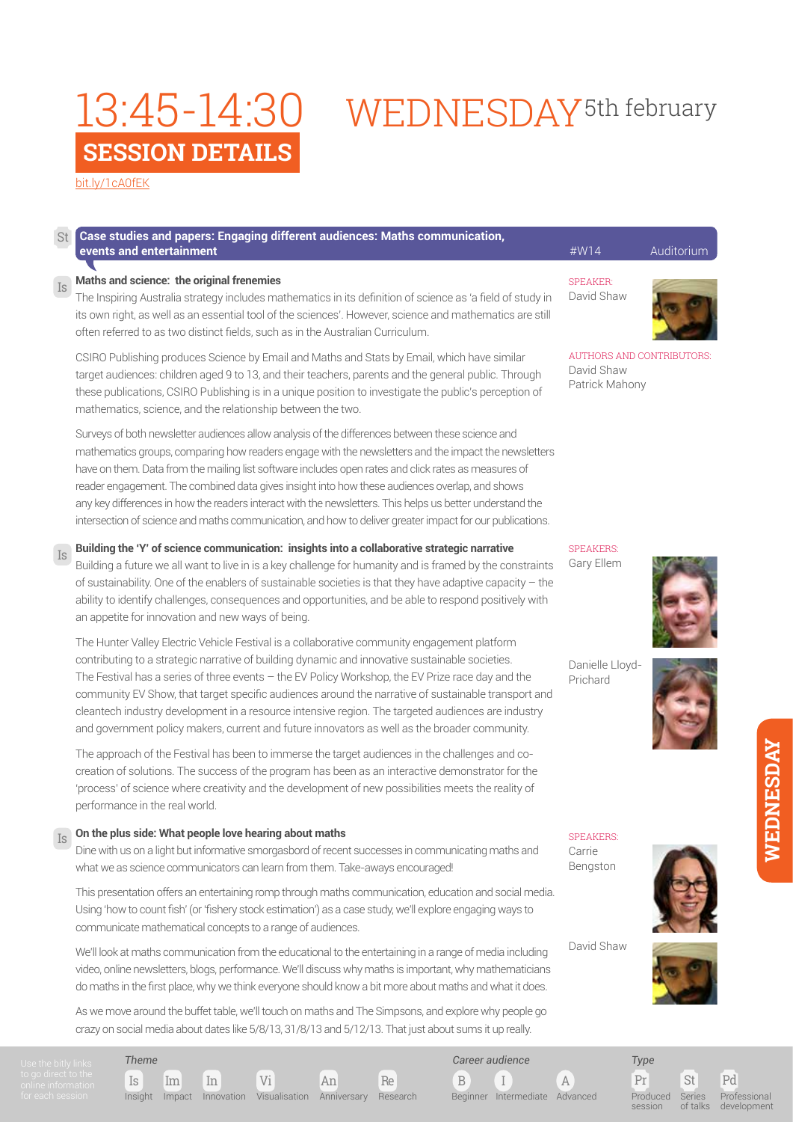# WEDNESDAY<sup>5th</sup> february

[bit.ly/1cA0fEK](http://bit.ly/
1cA0fEK)

Is

Is

#### **Case studies and papers: Engaging different audiences: Maths communication, events and entertainment** and the contract of the contract of the contract of the contract of the contract of the contract of the contract of the contract of the contract of the contract of the contract of the contract of St

### **Maths and science: the original frenemies**

The Inspiring Australia strategy includes mathematics in its definition of science as 'a field of study in its own right, as well as an essential tool of the sciences'. However, science and mathematics are still often referred to as two distinct fields, such as in the Australian Curriculum.

CSIRO Publishing produces Science by Email and Maths and Stats by Email, which have similar target audiences: children aged 9 to 13, and their teachers, parents and the general public. Through these publications, CSIRO Publishing is in a unique position to investigate the public's perception of mathematics, science, and the relationship between the two.

Surveys of both newsletter audiences allow analysis of the differences between these science and mathematics groups, comparing how readers engage with the newsletters and the impact the newsletters have on them. Data from the mailing list software includes open rates and click rates as measures of reader engagement. The combined data gives insight into how these audiences overlap, and shows any key differences in how the readers interact with the newsletters. This helps us better understand the intersection of science and maths communication, and how to deliver greater impact for our publications.

### **Building the 'Y' of science communication: insights into a collaborative strategic narrative**

Gary Ellem Building a future we all want to live in is a key challenge for humanity and is framed by the constraints of sustainability. One of the enablers of sustainable societies is that they have adaptive capacity – the ability to identify challenges, consequences and opportunities, and be able to respond positively with an appetite for innovation and new ways of being.

The Hunter Valley Electric Vehicle Festival is a collaborative community engagement platform contributing to a strategic narrative of building dynamic and innovative sustainable societies. The Festival has a series of three events – the EV Policy Workshop, the EV Prize race day and the community EV Show, that target specific audiences around the narrative of sustainable transport and cleantech industry development in a resource intensive region. The targeted audiences are industry and government policy makers, current and future innovators as well as the broader community.

The approach of the Festival has been to immerse the target audiences in the challenges and cocreation of solutions. The success of the program has been as an interactive demonstrator for the 'process' of science where creativity and the development of new possibilities meets the reality of performance in the real world.

#### **On the plus side: What people love hearing about maths** Is

Dine with us on a light but informative smorgasbord of recent successes in communicating maths and what we as science communicators can learn from them. Take-aways encouraged!

This presentation offers an entertaining romp through maths communication, education and social media. Using 'how to count fish' (or 'fishery stock estimation') as a case study, we'll explore engaging ways to communicate mathematical concepts to a range of audiences.

We'll look at maths communication from the educational to the entertaining in a range of media including video, online newsletters, blogs, performance. We'll discuss why maths is important, why mathematicians do maths in the first place, why we think everyone should know a bit more about maths and what it does.

As we move around the buffet table, we'll touch on maths and The Simpsons, and explore why people go crazy on social media about dates like 5/8/13, 31/8/13 and 5/12/13. That just about sums it up really.

Is Im In Vi An Re *Theme* Insight Impact Innovation Visualisation Anniversary Research

*Career audience*

B I A Beginner Intermediate Advanced

Pr St Pd Produced session Series of talks

*Type*

Professional development

**WEDNESDAY**

WEDNESDAY

SPEAKERS: Carrie





David Shaw





Danielle Lloyd-

SPEAKERS:

SPEAKER: David Shaw

David Shaw Patrick Mahony

AUTHORS AND CONTRIBUTORS:

Prichard

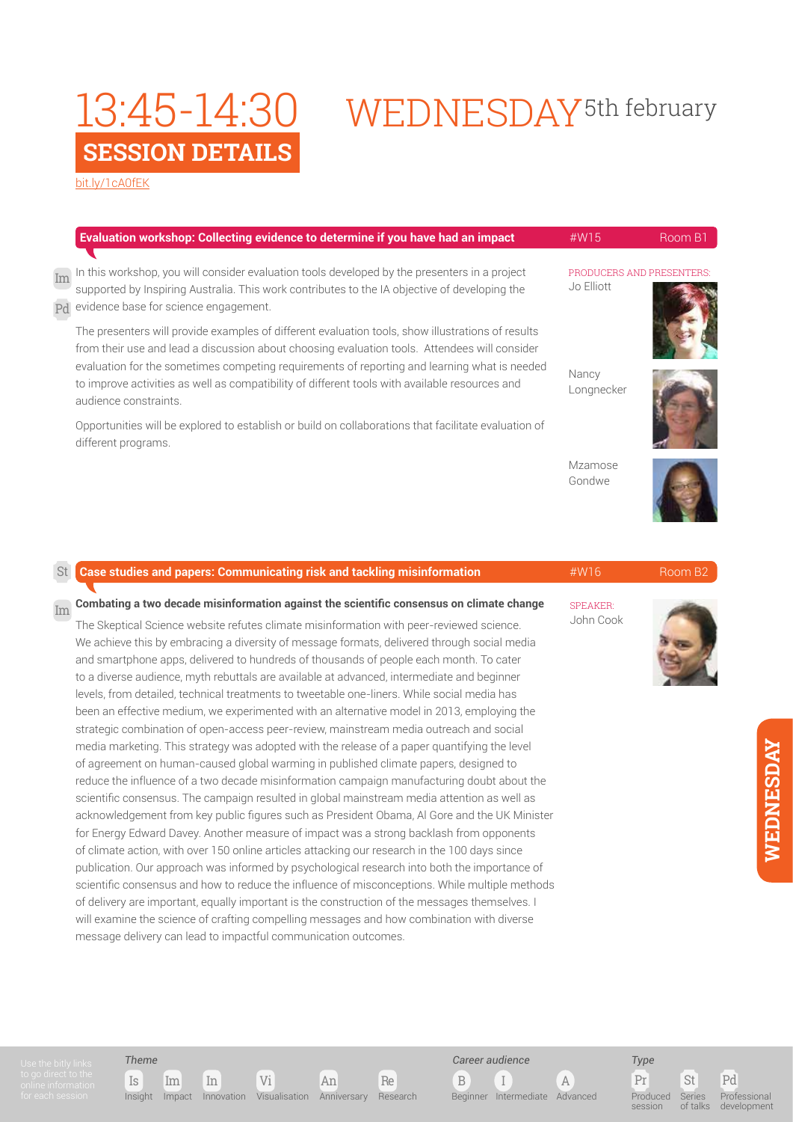# WEDNESDAY<sup>5th</sup> february

[bit.ly/1cA0fEK](http://bit.ly/
1cA0fEK)

|          | Evaluation workshop: Collecting evidence to determine if you have had an impact                                                                                                                                                                                                                                                                                                                                              | #W15                                   | Room B1 |
|----------|------------------------------------------------------------------------------------------------------------------------------------------------------------------------------------------------------------------------------------------------------------------------------------------------------------------------------------------------------------------------------------------------------------------------------|----------------------------------------|---------|
| Im<br>Pd | In this workshop, you will consider evaluation tools developed by the presenters in a project<br>supported by Inspiring Australia. This work contributes to the IA objective of developing the<br>evidence base for science engagement.                                                                                                                                                                                      | PRODUCERS AND PRESENTERS<br>Jo Elliott |         |
|          | The presenters will provide examples of different evaluation tools, show illustrations of results<br>from their use and lead a discussion about choosing evaluation tools. Attendees will consider<br>evaluation for the sometimes competing requirements of reporting and learning what is needed<br>to improve activities as well as compatibility of different tools with available resources and<br>audience constraints | Nancy<br>Longnecker                    |         |
|          | Opportunities will be explored to establish or build on collaborations that facilitate evaluation of<br>different programs.                                                                                                                                                                                                                                                                                                  |                                        |         |
|          |                                                                                                                                                                                                                                                                                                                                                                                                                              | Mzamose<br>Gondwe                      |         |
| St       | <b>Case studies and papers: Communicating risk and tackling misinformation</b>                                                                                                                                                                                                                                                                                                                                               | $\#W16$                                | Room B2 |

Im Combating a two decade misinformation against the scientific consensus on climate change and speaker of the<br>History The Skeptical Science website refutes climate misinformation with peer-reviewed science. We achieve this by embracing a diversity of message formats, delivered through social media and smartphone apps, delivered to hundreds of thousands of people each month. To cater to a diverse audience, myth rebuttals are available at advanced, intermediate and beginner levels, from detailed, technical treatments to tweetable one-liners. While social media has been an effective medium, we experimented with an alternative model in 2013, employing the strategic combination of open-access peer-review, mainstream media outreach and social media marketing. This strategy was adopted with the release of a paper quantifying the level of agreement on human-caused global warming in published climate papers, designed to reduce the influence of a two decade misinformation campaign manufacturing doubt about the scientific consensus. The campaign resulted in global mainstream media attention as well as acknowledgement from key public figures such as President Obama, Al Gore and the UK Minister for Energy Edward Davey. Another measure of impact was a strong backlash from opponents of climate action, with over 150 online articles attacking our research in the 100 days since publication. Our approach was informed by psychological research into both the importance of scientific consensus and how to reduce the influence of misconceptions. While multiple methods of delivery are important, equally important is the construction of the messages themselves. I will examine the science of crafting compelling messages and how combination with diverse message delivery can lead to impactful communication outcomes.

Is Im In Vi An Re Insight Impact Innovation Visualisation Anniversary Research



Beginner Intermediate Advanced

John Cook

Pr St Pd *Type* Produced session Series  $\frac{1}{2}$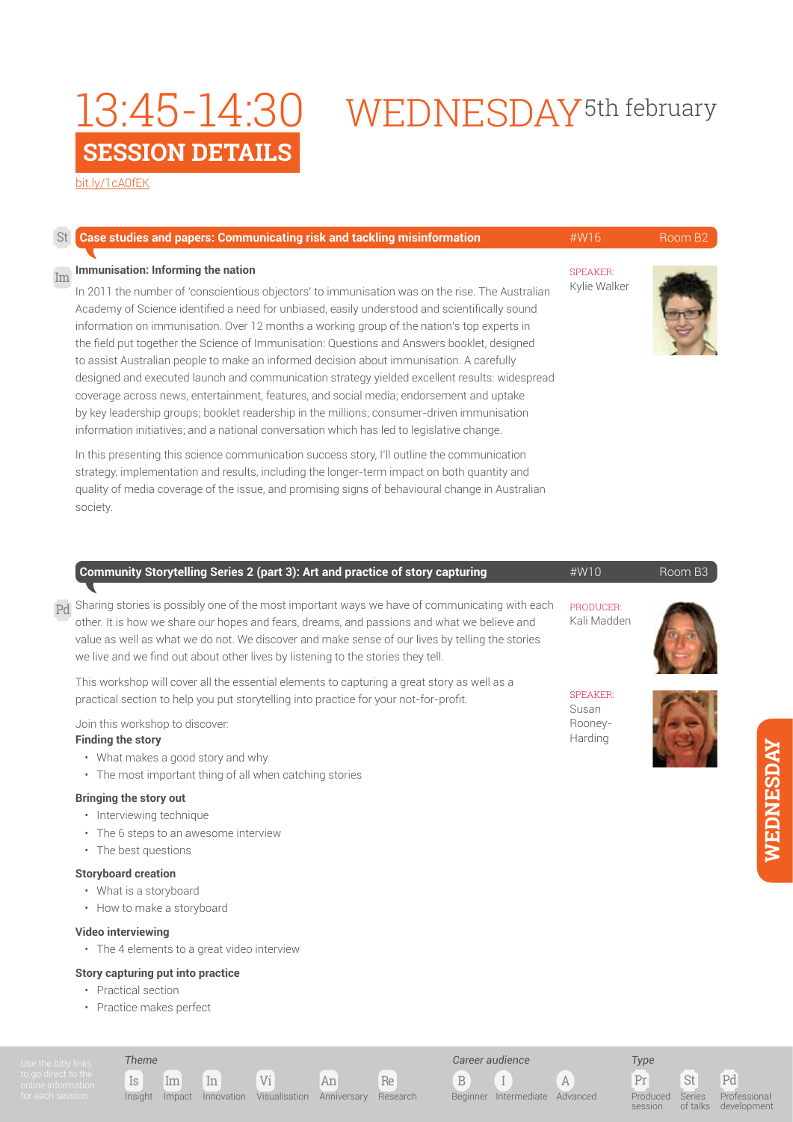# WEDNESDAY<sup>5th</sup> february

[bit.ly/1cA0fEK](http://bit.ly/
1cA0fEK)

| St | <b>Case studies and papers: Communicating risk and tackling misinformation</b>                                                                                                                                                                                                                                                                                                                                                                                                                                                                                                                                                                                                                                                                                                                                                                                                                                         | $\#W16$                         | Room B <sub>2</sub> |
|----|------------------------------------------------------------------------------------------------------------------------------------------------------------------------------------------------------------------------------------------------------------------------------------------------------------------------------------------------------------------------------------------------------------------------------------------------------------------------------------------------------------------------------------------------------------------------------------------------------------------------------------------------------------------------------------------------------------------------------------------------------------------------------------------------------------------------------------------------------------------------------------------------------------------------|---------------------------------|---------------------|
| Im | Immunisation: Informing the nation<br>In 2011 the number of 'conscientious objectors' to immunisation was on the rise. The Australian<br>Academy of Science identified a need for unbiased, easily understood and scientifically sound<br>information on immunisation. Over 12 months a working group of the nation's top experts in<br>the field put together the Science of Immunisation: Questions and Answers booklet, designed<br>to assist Australian people to make an informed decision about immunisation. A carefully<br>designed and executed launch and communication strategy yielded excellent results: widespread<br>coverage across news, entertainment, features, and social media; endorsement and uptake<br>by key leadership groups; booklet readership in the millions; consumer-driven immunisation<br>information initiatives; and a national conversation which has led to legislative change. | <b>SPEAKER:</b><br>Kylie Walker |                     |
|    | In this presenting this science communication success story, I'll outline the communication<br>strategy, implementation and results, including the longer-term impact on both quantity and<br>quality of media coverage of the issue, and promising signs of behavioural change in Australian<br>society.                                                                                                                                                                                                                                                                                                                                                                                                                                                                                                                                                                                                              |                                 |                     |

| Community Storytelling Series 2 (part 3): Art and practice of story capturing                                                                                                                                                                                                                                                                                                                   | $\#W10$                  | Room B <sub>3</sub> |
|-------------------------------------------------------------------------------------------------------------------------------------------------------------------------------------------------------------------------------------------------------------------------------------------------------------------------------------------------------------------------------------------------|--------------------------|---------------------|
| $_{\rm Pd}$ Sharing stories is possibly one of the most important ways we have of communicating with each<br>other. It is how we share our hopes and fears, dreams, and passions and what we believe and<br>value as well as what we do not. We discover and make sense of our lives by telling the stories<br>we live and we find out about other lives by listening to the stories they tell. | PRODUCER:<br>Kali Madden |                     |
| This workshop will cover all the essential elements to capturing a great story as well as a<br>practical section to help you put storytelling into practice for your not-for-profit.                                                                                                                                                                                                            | <b>SPEAKER:</b><br>Susan |                     |
| Join this workshop to discover:<br><b>Finding the story</b><br>What makes a good story and why<br>٠<br>• The most important thing of all when catching stories                                                                                                                                                                                                                                  | Rooney-<br>Harding       |                     |

### **Bringing the story out**

- Interviewing technique
- The 6 steps to an awesome interview
- The best questions

### **Storyboard creation**

- What is a storyboard
- How to make a storyboard

### **Video interviewing**

• The 4 elements to a great video interview

Is Im In Vi An Re

Insight Impact Innovation Visualisation Anniversary Research

### **Story capturing put into practice**

- Practical section
- Practice makes perfect

*Theme*

### B I A Beginner Intermediate Advanced

*Career audience*

Produced **session** 

*Type*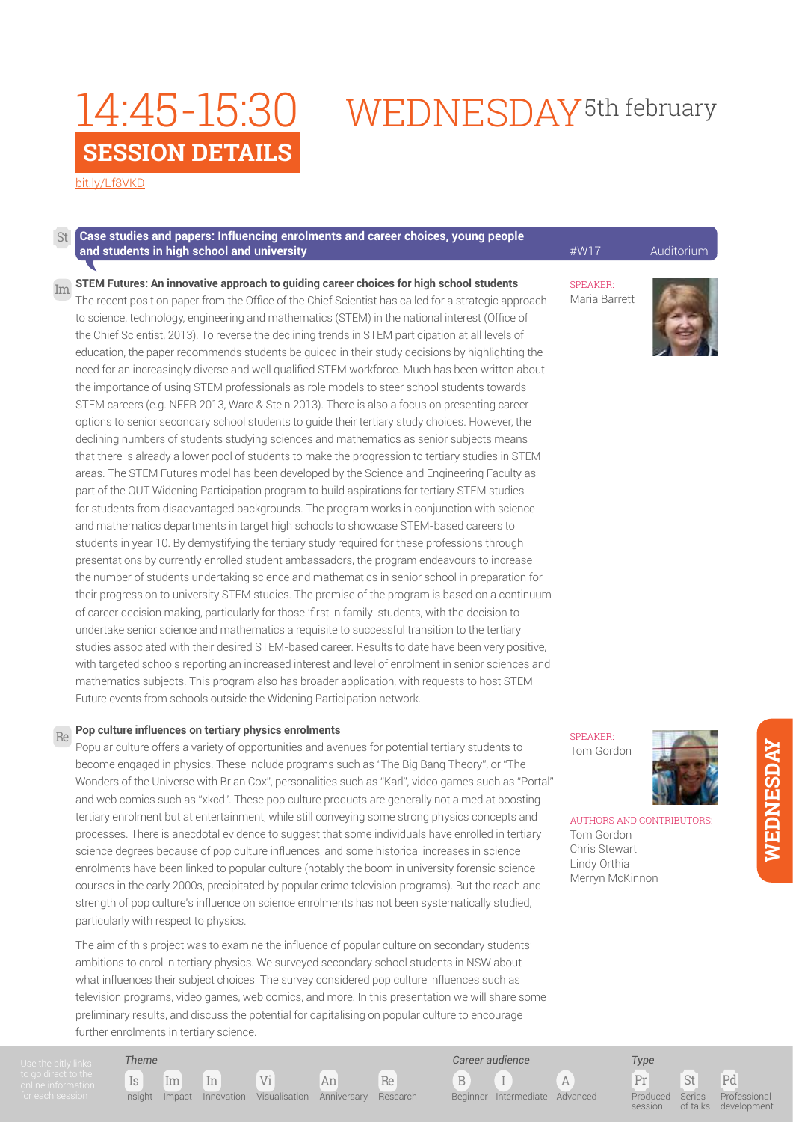# WEDNESDAY<sup>5th</sup> february

[bit.ly/Lf8VKD](http://bit.ly/
Lf8VKD)

#### **Case studies and papers: Influencing enrolments and career choices, young people and students in high school and university Auditorium Auditorium** *Auditorium* **Auditorium** St

**STEM Futures: An innovative approach to guiding career choices for high school students**  The recent position paper from the Office of the Chief Scientist has called for a strategic approach to science, technology, engineering and mathematics (STEM) in the national interest (Office of the Chief Scientist, 2013). To reverse the declining trends in STEM participation at all levels of education, the paper recommends students be guided in their study decisions by highlighting the need for an increasingly diverse and well qualified STEM workforce. Much has been written about the importance of using STEM professionals as role models to steer school students towards STEM careers (e.g. NFER 2013, Ware & Stein 2013). There is also a focus on presenting career options to senior secondary school students to guide their tertiary study choices. However, the declining numbers of students studying sciences and mathematics as senior subjects means that there is already a lower pool of students to make the progression to tertiary studies in STEM areas. The STEM Futures model has been developed by the Science and Engineering Faculty as part of the QUT Widening Participation program to build aspirations for tertiary STEM studies for students from disadvantaged backgrounds. The program works in conjunction with science and mathematics departments in target high schools to showcase STEM-based careers to students in year 10. By demystifying the tertiary study required for these professions through presentations by currently enrolled student ambassadors, the program endeavours to increase the number of students undertaking science and mathematics in senior school in preparation for their progression to university STEM studies. The premise of the program is based on a continuum of career decision making, particularly for those 'first in family' students, with the decision to undertake senior science and mathematics a requisite to successful transition to the tertiary studies associated with their desired STEM-based career. Results to date have been very positive, with targeted schools reporting an increased interest and level of enrolment in senior sciences and mathematics subjects. This program also has broader application, with requests to host STEM Future events from schools outside the Widening Participation network. Im

#### **Pop culture influences on tertiary physics enrolments** Re

*Theme*

Popular culture offers a variety of opportunities and avenues for potential tertiary students to become engaged in physics. These include programs such as "The Big Bang Theory", or "The Wonders of the Universe with Brian Cox", personalities such as "Karl", video games such as "Portal" and web comics such as "xkcd". These pop culture products are generally not aimed at boosting tertiary enrolment but at entertainment, while still conveying some strong physics concepts and processes. There is anecdotal evidence to suggest that some individuals have enrolled in tertiary science degrees because of pop culture influences, and some historical increases in science enrolments have been linked to popular culture (notably the boom in university forensic science courses in the early 2000s, precipitated by popular crime television programs). But the reach and strength of pop culture's influence on science enrolments has not been systematically studied, particularly with respect to physics.

The aim of this project was to examine the influence of popular culture on secondary students' ambitions to enrol in tertiary physics. We surveyed secondary school students in NSW about what influences their subject choices. The survey considered pop culture influences such as television programs, video games, web comics, and more. In this presentation we will share some preliminary results, and discuss the potential for capitalising on popular culture to encourage further enrolments in tertiary science.

Is Im In Vi An Re

Insight Impact Innovation Visualisation Anniversary Research

SPEAKER:

Maria Barrett





AUTHORS AND CONTRIBUTORS: Tom Gordon Chris Stewart Lindy Orthia Merryn McKinnon

*NEDNESDAY* **WEDNESDAY**

Pr St Pd *Type*

Series of talks

Produced session

B I A

Beginner Intermediate Advanced

*Career audience*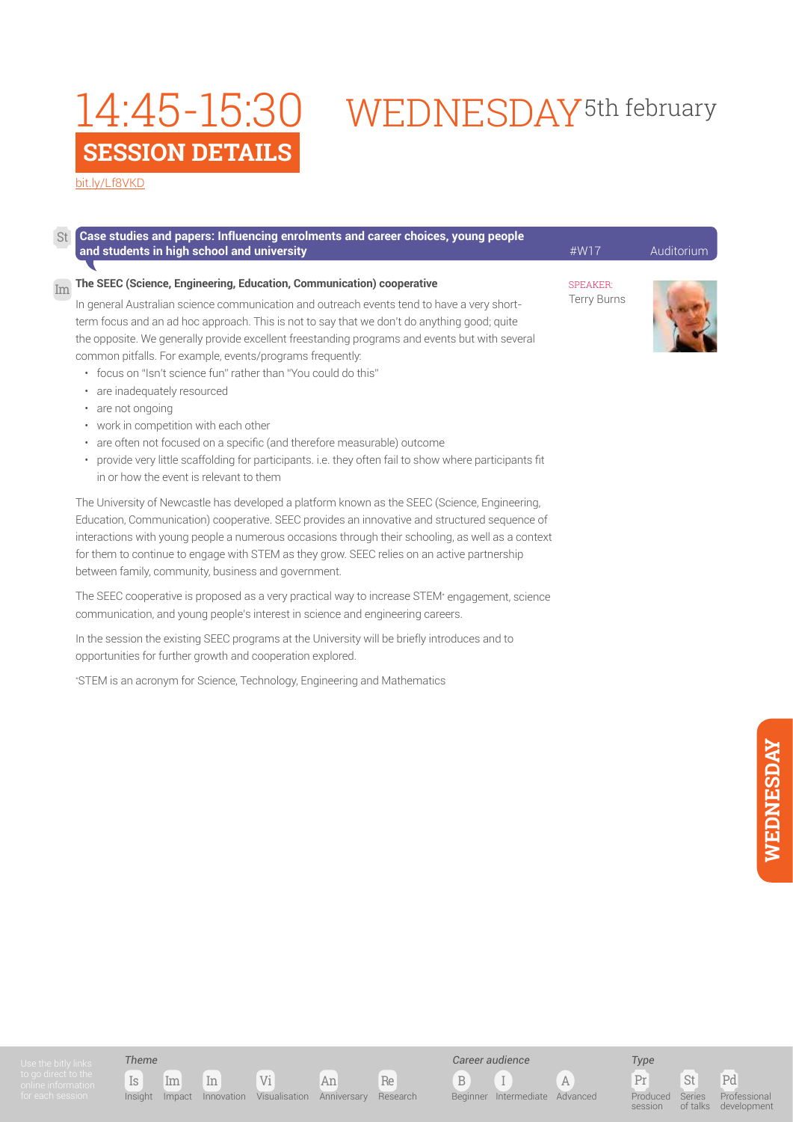[bit.ly/Lf8VKD](http://bit.ly/
Lf8VKD)

St

### **Case studies and papers: Influencing enrolments and career choices, young people and students in high school and university Auditorium Auditorium Auditorium Auditorium Auditorium**

#### **The SEEC (Science, Engineering, Education, Communication) cooperative** Im

In general Australian science communication and outreach events tend to have a very shortterm focus and an ad hoc approach. This is not to say that we don't do anything good; quite the opposite. We generally provide excellent freestanding programs and events but with several common pitfalls. For example, events/programs frequently:

- focus on "Isn't science fun" rather than "You could do this"
- are inadequately resourced
- are not ongoing
- work in competition with each other
- are often not focused on a specific (and therefore measurable) outcome
- provide very little scaffolding for participants. i.e. they often fail to show where participants fit in or how the event is relevant to them

The University of Newcastle has developed a platform known as the SEEC (Science, Engineering, Education, Communication) cooperative. SEEC provides an innovative and structured sequence of interactions with young people a numerous occasions through their schooling, as well as a context for them to continue to engage with STEM as they grow. SEEC relies on an active partnership between family, community, business and government.

The SEEC cooperative is proposed as a very practical way to increase STEM\* engagement, science communication, and young people's interest in science and engineering careers.

In the session the existing SEEC programs at the University will be briefly introduces and to opportunities for further growth and cooperation explored.

\* STEM is an acronym for Science, Technology, Engineering and Mathematics

WEDNESDAY<sup>5th</sup> february

SPEAKER: Terry Burns









B I A Beginner Intermediate Advanced

*Career audience*



Pr St Pd Produced session Series of talks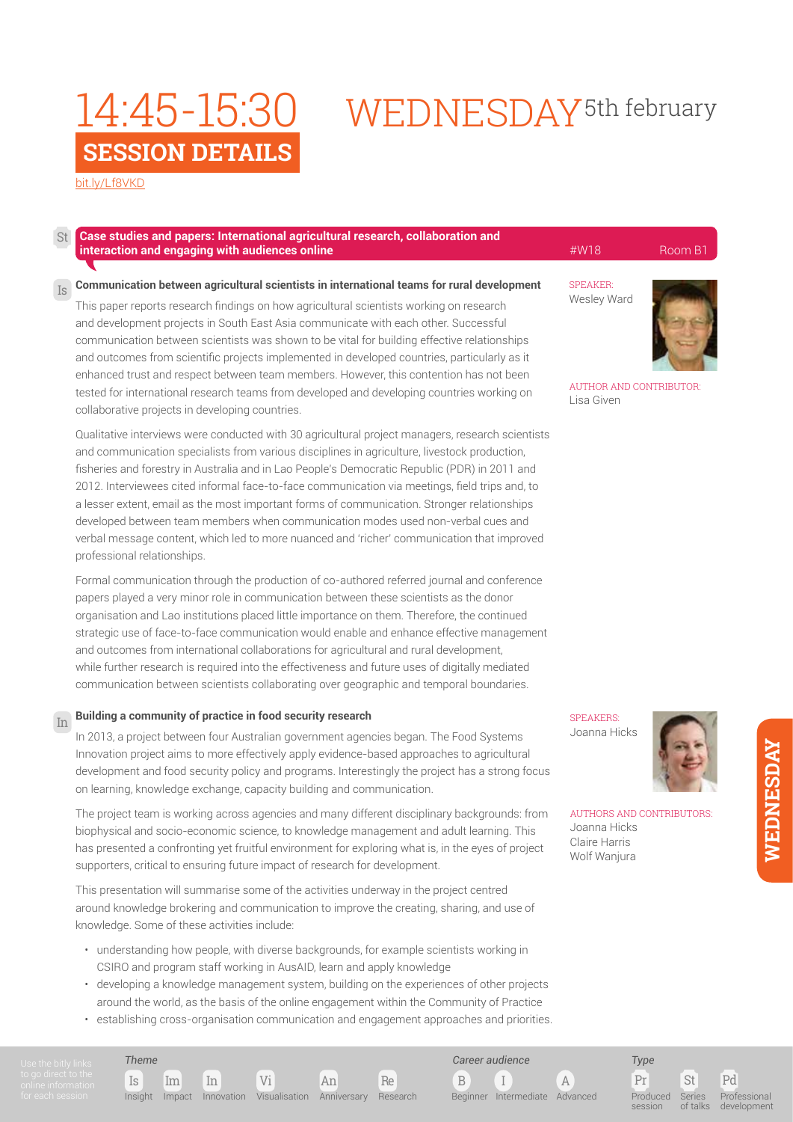### [bit.ly/Lf8VKD](http://bit.ly/
Lf8VKD)

#### **Case studies and papers: International agricultural research, collaboration and interaction and engaging with audiences online All Community Community Advantages and All Community Community Room B1** St

#### **Communication between agricultural scientists in international teams for rural development** Is

This paper reports research findings on how agricultural scientists working on research and development projects in South East Asia communicate with each other. Successful communication between scientists was shown to be vital for building effective relationships and outcomes from scientific projects implemented in developed countries, particularly as it enhanced trust and respect between team members. However, this contention has not been tested for international research teams from developed and developing countries working on collaborative projects in developing countries.

Qualitative interviews were conducted with 30 agricultural project managers, research scientists and communication specialists from various disciplines in agriculture, livestock production, fisheries and forestry in Australia and in Lao People's Democratic Republic (PDR) in 2011 and 2012. Interviewees cited informal face-to-face communication via meetings, field trips and, to a lesser extent, email as the most important forms of communication. Stronger relationships developed between team members when communication modes used non-verbal cues and verbal message content, which led to more nuanced and 'richer' communication that improved professional relationships.

Formal communication through the production of co-authored referred journal and conference papers played a very minor role in communication between these scientists as the donor organisation and Lao institutions placed little importance on them. Therefore, the continued strategic use of face-to-face communication would enable and enhance effective management and outcomes from international collaborations for agricultural and rural development, while further research is required into the effectiveness and future uses of digitally mediated communication between scientists collaborating over geographic and temporal boundaries.

#### **Building a community of practice in food security research**  In

In 2013, a project between four Australian government agencies began. The Food Systems Innovation project aims to more effectively apply evidence-based approaches to agricultural development and food security policy and programs. Interestingly the project has a strong focus on learning, knowledge exchange, capacity building and communication.

The project team is working across agencies and many different disciplinary backgrounds: from biophysical and socio-economic science, to knowledge management and adult learning. This has presented a confronting yet fruitful environment for exploring what is, in the eyes of project supporters, critical to ensuring future impact of research for development.

This presentation will summarise some of the activities underway in the project centred around knowledge brokering and communication to improve the creating, sharing, and use of knowledge. Some of these activities include:

- understanding how people, with diverse backgrounds, for example scientists working in CSIRO and program staff working in AusAID, learn and apply knowledge
- developing a knowledge management system, building on the experiences of other projects around the world, as the basis of the online engagement within the Community of Practice
- establishing cross-organisation communication and engagement approaches and priorities.

SPEAKER:

WEDNESDAY<sup>5th</sup> february

Wesley Ward



AUTHOR AND CONTRIBUTOR: Lisa Given

**SPEAKERS** Joanna Hicks



AUTHORS AND CONTRIBUTORS: Joanna Hicks Claire Harris Wolf Wanjura

> Pr St Pd *Type* Produced session Series of talks Professional development

### Is Im In Vi An Re *Theme*

Insight Impact Innovation Visualisation Anniversary Research

B I A

*Career audience*

Beginner Intermediate Advanced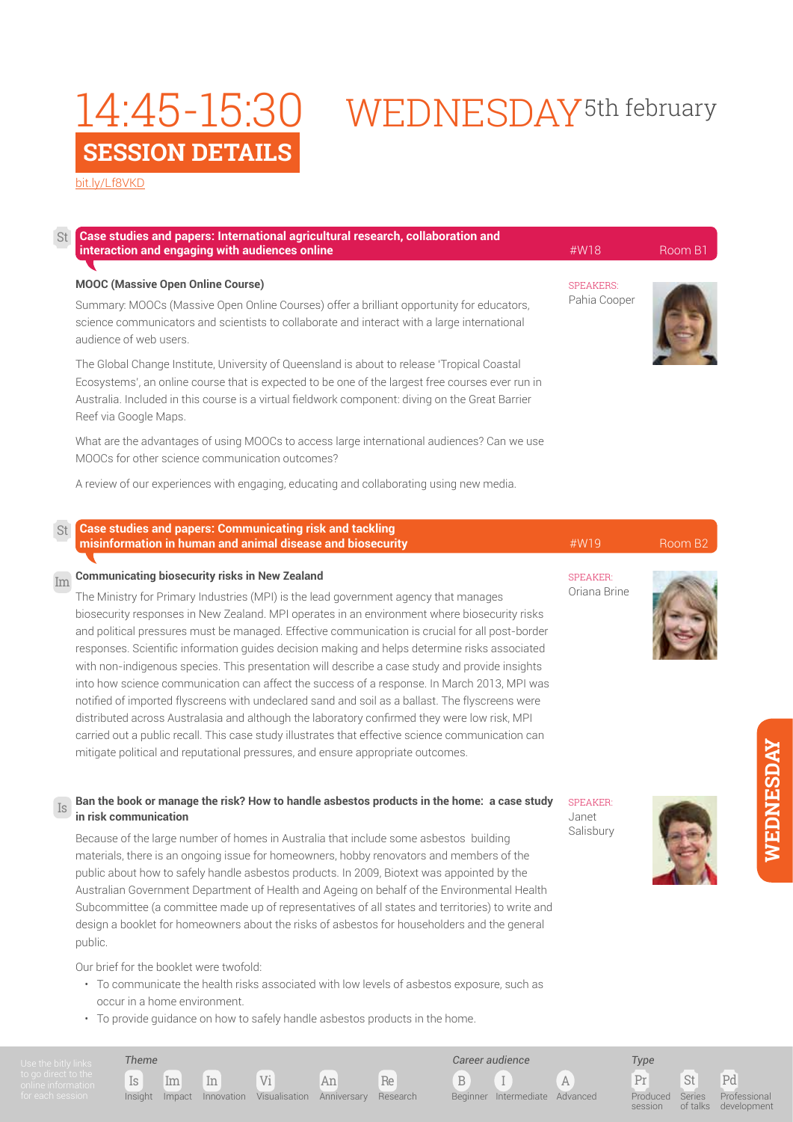# WEDNESDAY<sup>5th</sup> february

[bit.ly/Lf8VKD](http://bit.ly/
Lf8VKD)

| St | Case studies and papers: International agricultural research, collaboration and<br>interaction and engaging with audiences online                                                                                                                                                                                            | #W18                             | Room B1 |
|----|------------------------------------------------------------------------------------------------------------------------------------------------------------------------------------------------------------------------------------------------------------------------------------------------------------------------------|----------------------------------|---------|
|    | <b>MOOC</b> (Massive Open Online Course)<br>Summary: MOOCs (Massive Open Online Courses) offer a brilliant opportunity for educators,<br>science communicators and scientists to collaborate and interact with a large international<br>audience of web users.                                                               | <b>SPEAKERS:</b><br>Pahia Cooper |         |
|    | The Global Change Institute, University of Queensland is about to release 'Tropical Coastal<br>Ecosystems', an online course that is expected to be one of the largest free courses ever run in<br>Australia. Included in this course is a virtual fieldwork component: diving on the Great Barrier<br>Reef via Google Maps. |                                  |         |
|    | What are the advantages of using MOOCs to access large international audiences? Can we use<br>MOOCs for other science communication outcomes?                                                                                                                                                                                |                                  |         |
|    | A review of our experiences with engaging, educating and collaborating using new media.                                                                                                                                                                                                                                      |                                  |         |

| St | <b>Case studies and papers: Communicating risk and tackling</b><br><b>Example 20</b> misinformation in human and animal disease and biosecurity                                      | #W19            | Room B <sub>2</sub> |
|----|--------------------------------------------------------------------------------------------------------------------------------------------------------------------------------------|-----------------|---------------------|
|    | $\overline{\mathrm{Im}}$ Communicating biosecurity risks in New Zealand                                                                                                              | <b>SPEAKER:</b> |                     |
|    | The Ministry for Primary Industries (MPI) is the lead government agency that manages<br>biosecurity responses in New Zealand. MPI operates in an environment where biosecurity risks | Oriana Brine    |                     |
|    | 1. 1995년 1월 1일 - 1월 1일 - 1월 1일 - 1월 1일 - 1월 1일 - 1월 1일 - 1월 1일 - 1월 1일 - 1월 1일 - 1월 1일 - 1월 1일 - 1월 1일 - 1월 1일                                                                       |                 |                     |

and political pressures must be managed. Effective communication is crucial for all post-border responses. Scientific information guides decision making and helps determine risks associated with non-indigenous species. This presentation will describe a case study and provide insights into how science communication can affect the success of a response. In March 2013, MPI was notified of imported flyscreens with undeclared sand and soil as a ballast. The flyscreens were distributed across Australasia and although the laboratory confirmed they were low risk, MPI carried out a public recall. This case study illustrates that effective science communication can mitigate political and reputational pressures, and ensure appropriate outcomes.

#### **Ban the book or manage the risk? How to handle asbestos products in the home: a case study in risk communication** Is

Because of the large number of homes in Australia that include some asbestos building materials, there is an ongoing issue for homeowners, hobby renovators and members of the public about how to safely handle asbestos products. In 2009, Biotext was appointed by the Australian Government Department of Health and Ageing on behalf of the Environmental Health Subcommittee (a committee made up of representatives of all states and territories) to write and design a booklet for homeowners about the risks of asbestos for householders and the general public.

Our brief for the booklet were twofold:

*Theme*

- To communicate the health risks associated with low levels of asbestos exposure, such as occur in a home environment.
- To provide guidance on how to safely handle asbestos products in the home.

Is Im In Vi An Re

Insight Impact Innovation Visualisation Anniversary Research

SPEAKER: Janet Salisbury

B I A

Beginner Intermediate Advanced

*Career audience*



**IS** 

Pr St Pd *Type* Produced session Series of talks Professional development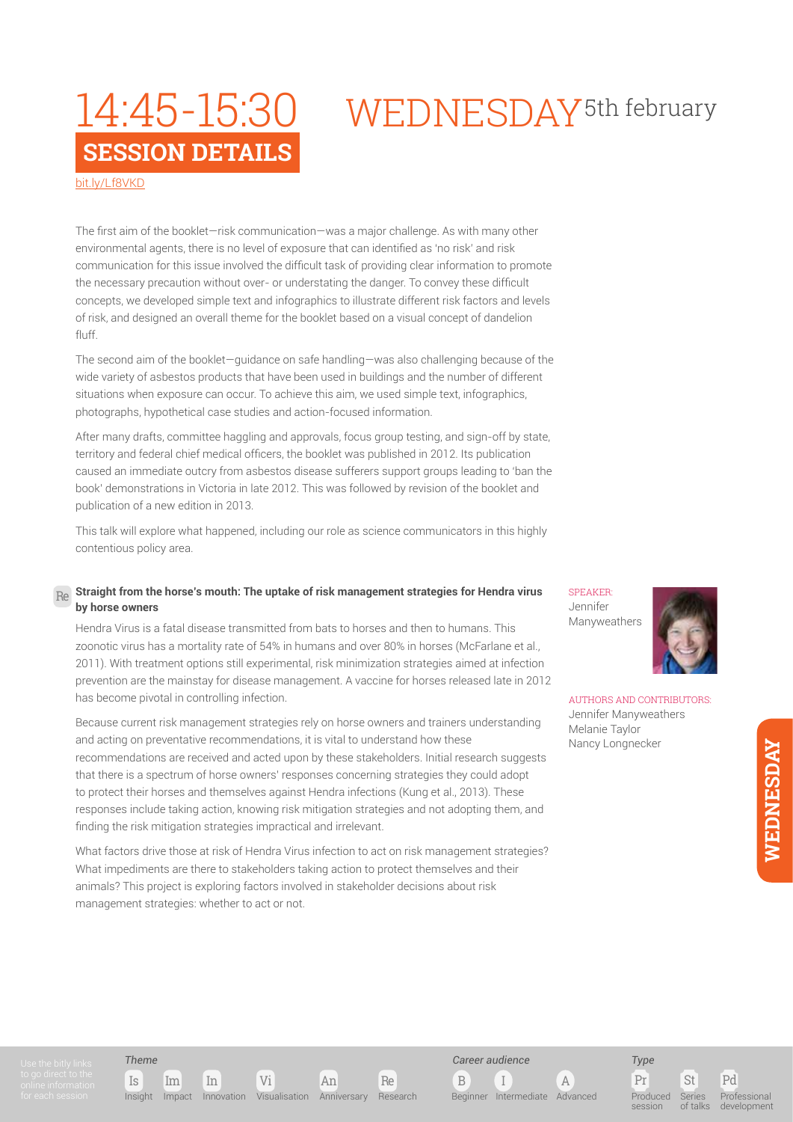## WEDNESDAY<sup>5th</sup> february

[bit.ly/Lf8VKD](http://bit.ly/
Lf8VKD)

The first aim of the booklet—risk communication—was a major challenge. As with many other environmental agents, there is no level of exposure that can identified as 'no risk' and risk communication for this issue involved the difficult task of providing clear information to promote the necessary precaution without over- or understating the danger. To convey these difficult concepts, we developed simple text and infographics to illustrate different risk factors and levels of risk, and designed an overall theme for the booklet based on a visual concept of dandelion fluff.

The second aim of the booklet—guidance on safe handling—was also challenging because of the wide variety of asbestos products that have been used in buildings and the number of different situations when exposure can occur. To achieve this aim, we used simple text, infographics, photographs, hypothetical case studies and action-focused information.

After many drafts, committee haggling and approvals, focus group testing, and sign-off by state, territory and federal chief medical officers, the booklet was published in 2012. Its publication caused an immediate outcry from asbestos disease sufferers support groups leading to 'ban the book' demonstrations in Victoria in late 2012. This was followed by revision of the booklet and publication of a new edition in 2013.

This talk will explore what happened, including our role as science communicators in this highly contentious policy area.

#### **Straight from the horse's mouth: The uptake of risk management strategies for Hendra virus by horse owners** Re

Hendra Virus is a fatal disease transmitted from bats to horses and then to humans. This zoonotic virus has a mortality rate of 54% in humans and over 80% in horses (McFarlane et al., 2011). With treatment options still experimental, risk minimization strategies aimed at infection prevention are the mainstay for disease management. A vaccine for horses released late in 2012 has become pivotal in controlling infection.

Because current risk management strategies rely on horse owners and trainers understanding and acting on preventative recommendations, it is vital to understand how these recommendations are received and acted upon by these stakeholders. Initial research suggests that there is a spectrum of horse owners' responses concerning strategies they could adopt to protect their horses and themselves against Hendra infections (Kung et al., 2013). These responses include taking action, knowing risk mitigation strategies and not adopting them, and finding the risk mitigation strategies impractical and irrelevant.

What factors drive those at risk of Hendra Virus infection to act on risk management strategies? What impediments are there to stakeholders taking action to protect themselves and their animals? This project is exploring factors involved in stakeholder decisions about risk management strategies: whether to act or not.

SPEAKER: Jennifer Manyweathers



AUTHORS AND CONTRIBUTORS: Jennifer Manyweathers Melanie Taylor Nancy Longnecker

*Theme*



B I A *Career audience* Beginner Intermediate Advanced

Pr St Pd Produced session Series of talks

*Type*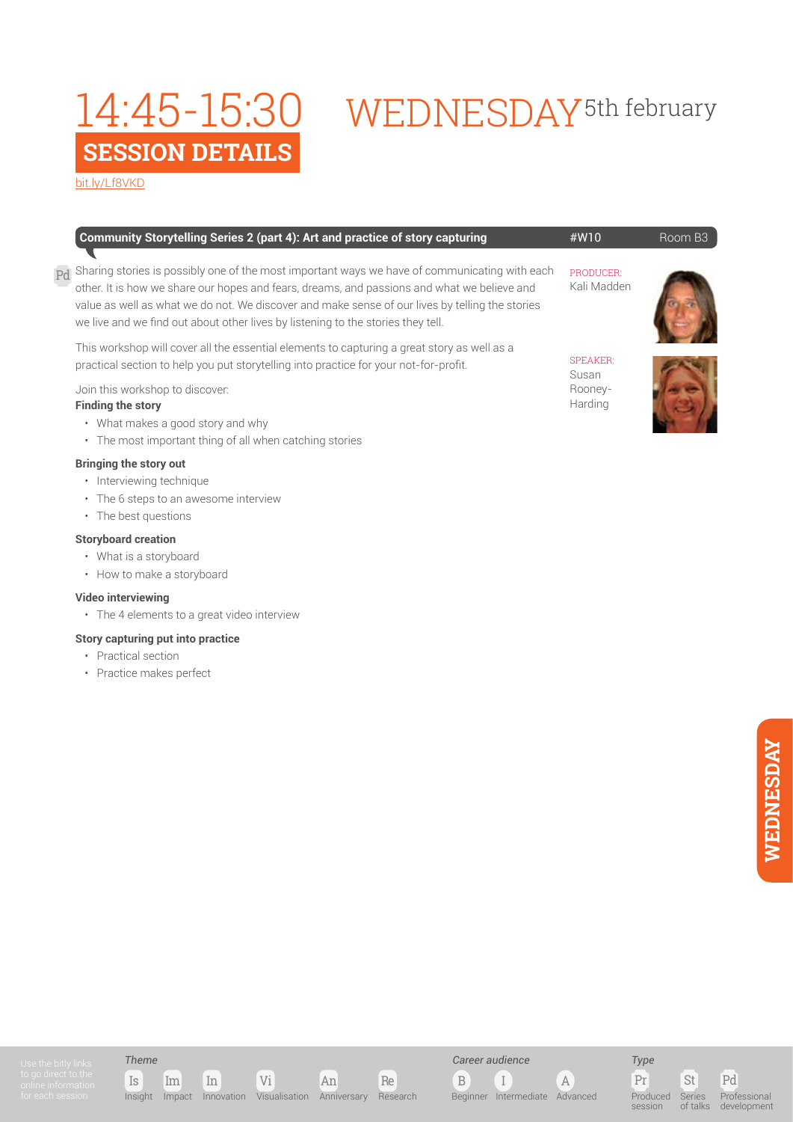# 14:45-15:30 WEDNESDAY<sup>5th february</sup>

[bit.ly/Lf8VKD](http://bit.ly/
Lf8VKD)

| Community Storytelling Series 2 (part 4): Art and practice of story capturing                                                                                                                                                                                                                                                                                                                        | #W10                     | Room B3 |
|------------------------------------------------------------------------------------------------------------------------------------------------------------------------------------------------------------------------------------------------------------------------------------------------------------------------------------------------------------------------------------------------------|--------------------------|---------|
| $_{\mathrm{Pd}}$ Sharing stories is possibly one of the most important ways we have of communicating with each<br>other. It is how we share our hopes and fears, dreams, and passions and what we believe and<br>value as well as what we do not. We discover and make sense of our lives by telling the stories<br>we live and we find out about other lives by listening to the stories they tell. | PRODUCER:<br>Kali Madden |         |

This workshop will cover all the essential elements to capturing a great story as well as a practical section to help you put storytelling into practice for your not-for-profit.

Join this workshop to discover:

### **Finding the story**

- What makes a good story and why
- The most important thing of all when catching stories

### **Bringing the story out**

- Interviewing technique
- The 6 steps to an awesome interview
- The best questions

### **Storyboard creation**

- What is a storyboard
- How to make a storyboard

### **Video interviewing**

• The 4 elements to a great video interview

### **Story capturing put into practice**

- Practical section
- Practice makes perfect



SPEAKER: Susan Rooney-Harding



Is Im In Vi An Re Insight Impact Innovation Visualisation Anniversary Research

*Career audience*

B I A Beginner Intermediate Advanced

*Type* Produced session